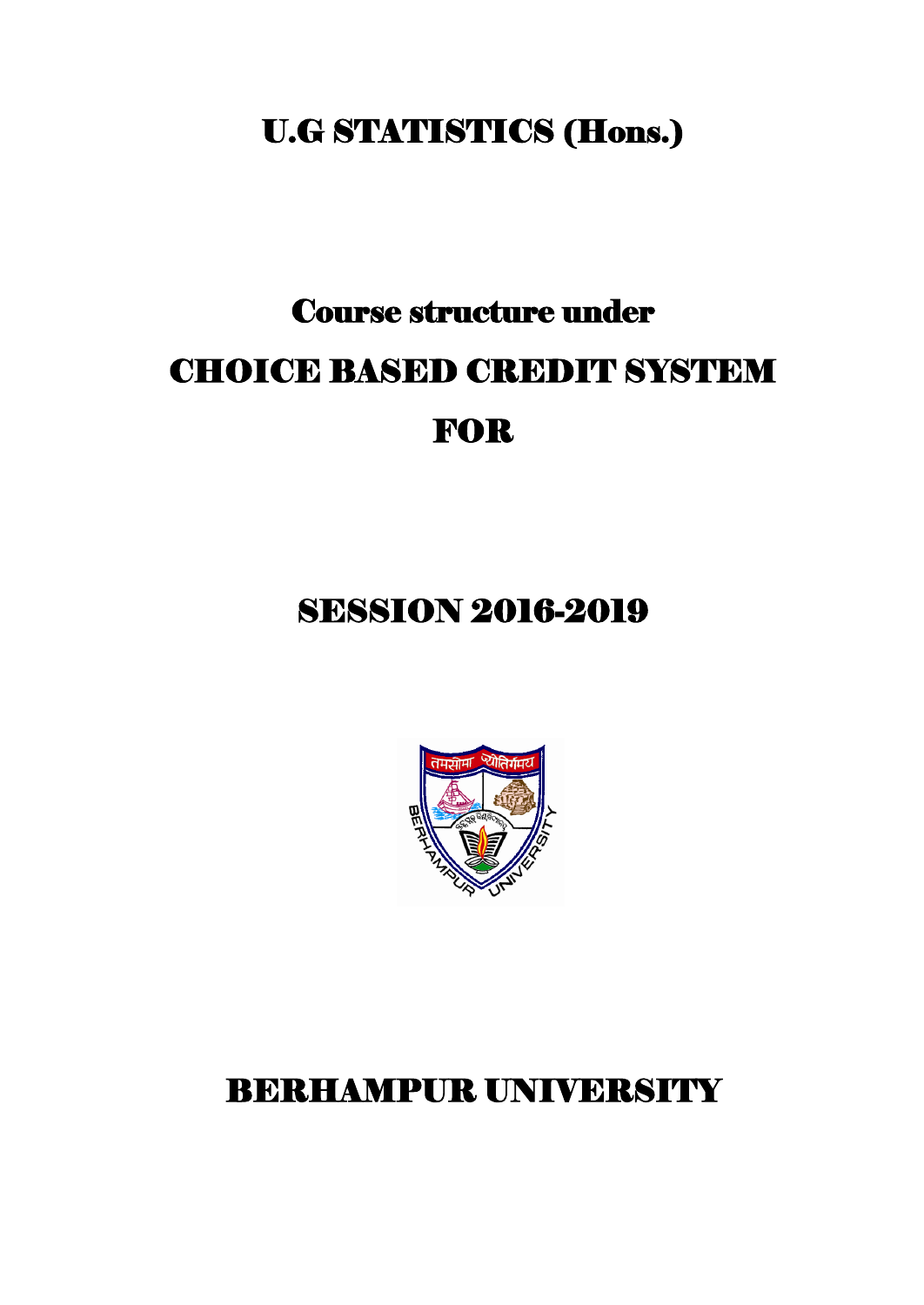# U.G STATISTICS (Hons.)

# Course structure under CHOICE BASED CREDIT SYSTEM FOR

# SESSION 2016-2019



# BERHAMPUR UNIVERSITY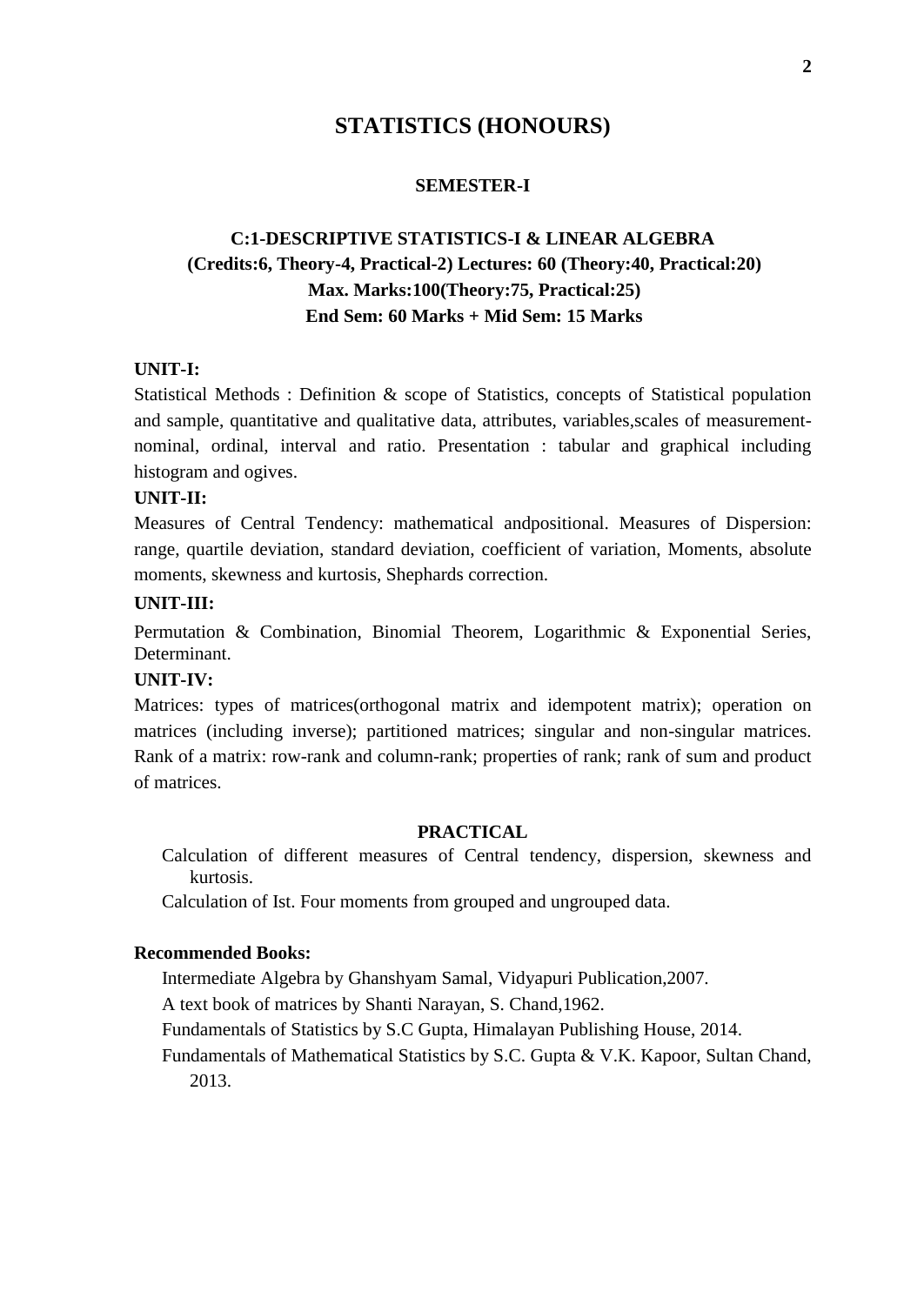# **STATISTICS (HONOURS)**

#### **SEMESTER-I**

# **C:1-DESCRIPTIVE STATISTICS-I & LINEAR ALGEBRA (Credits:6, Theory-4, Practical-2) Lectures: 60 (Theory:40, Practical:20) Max. Marks:100(Theory:75, Practical:25) End Sem: 60 Marks + Mid Sem: 15 Marks**

#### **UNIT-I:**

Statistical Methods : Definition & scope of Statistics, concepts of Statistical population and sample, quantitative and qualitative data, attributes, variables,scales of measurementnominal, ordinal, interval and ratio. Presentation : tabular and graphical including histogram and ogives.

#### **UNIT-II:**

Measures of Central Tendency: mathematical andpositional. Measures of Dispersion: range, quartile deviation, standard deviation, coefficient of variation, Moments, absolute moments, skewness and kurtosis, Shephards correction.

#### **UNIT-III:**

Permutation & Combination, Binomial Theorem, Logarithmic & Exponential Series, Determinant.

# **UNIT-IV:**

Matrices: types of matrices(orthogonal matrix and idempotent matrix); operation on matrices (including inverse); partitioned matrices; singular and non-singular matrices. Rank of a matrix: row-rank and column-rank; properties of rank; rank of sum and product of matrices.

#### **PRACTICAL**

Calculation of different measures of Central tendency, dispersion, skewness and kurtosis.

Calculation of Ist. Four moments from grouped and ungrouped data.

#### **Recommended Books:**

Intermediate Algebra by Ghanshyam Samal, Vidyapuri Publication,2007.

A text book of matrices by Shanti Narayan, S. Chand,1962.

Fundamentals of Statistics by S.C Gupta, Himalayan Publishing House, 2014.

Fundamentals of Mathematical Statistics by S.C. Gupta & V.K. Kapoor, Sultan Chand, 2013.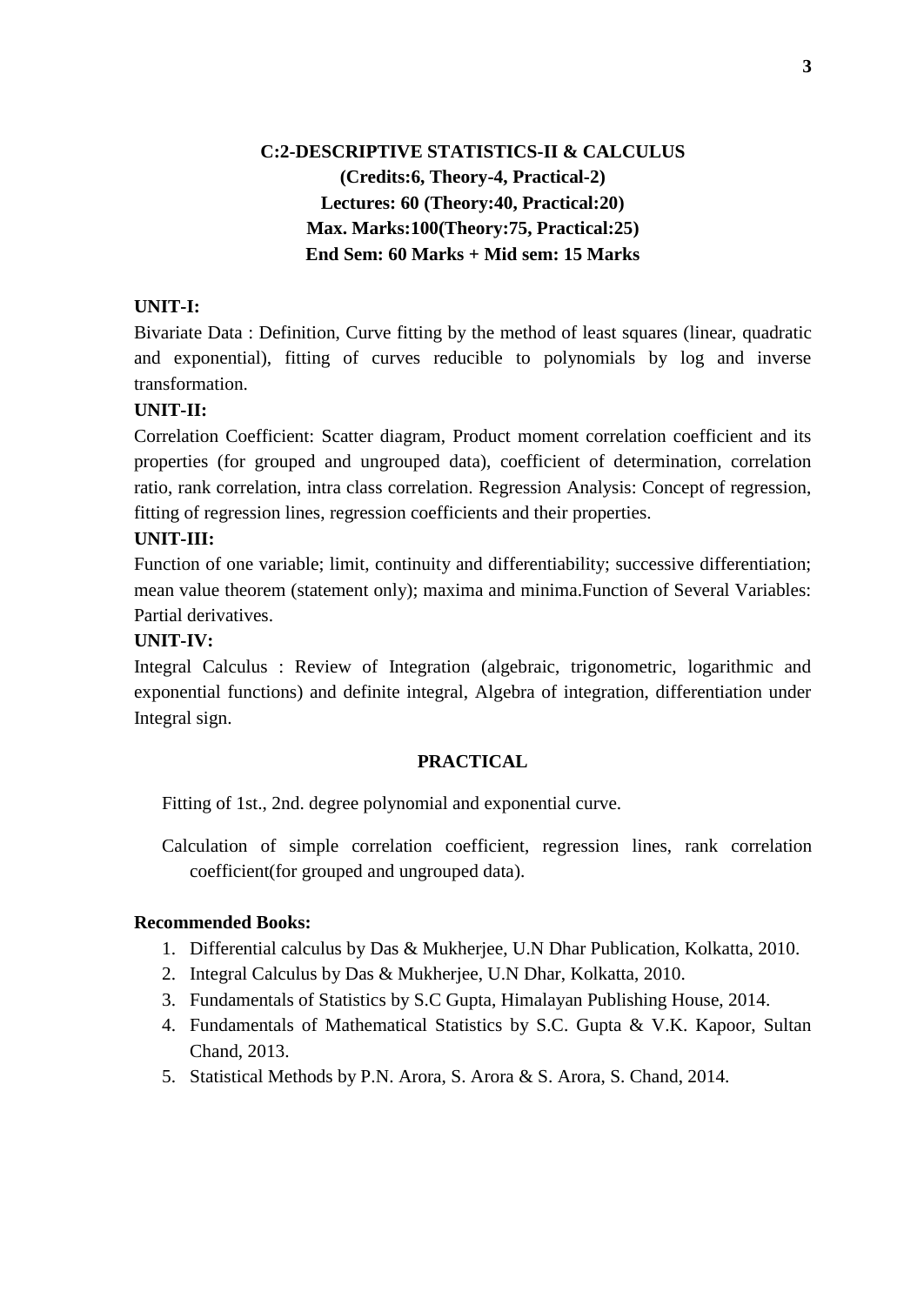# **C:2-DESCRIPTIVE STATISTICS-II & CALCULUS (Credits:6, Theory-4, Practical-2) Lectures: 60 (Theory:40, Practical:20) Max. Marks:100(Theory:75, Practical:25) End Sem: 60 Marks + Mid sem: 15 Marks**

## **UNIT-I:**

Bivariate Data : Definition, Curve fitting by the method of least squares (linear, quadratic and exponential), fitting of curves reducible to polynomials by log and inverse transformation.

# **UNIT-II:**

Correlation Coefficient: Scatter diagram, Product moment correlation coefficient and its properties (for grouped and ungrouped data), coefficient of determination, correlation ratio, rank correlation, intra class correlation. Regression Analysis: Concept of regression, fitting of regression lines, regression coefficients and their properties.

# **UNIT-III:**

Function of one variable; limit, continuity and differentiability; successive differentiation; mean value theorem (statement only); maxima and minima.Function of Several Variables: Partial derivatives.

## **UNIT-IV:**

Integral Calculus : Review of Integration (algebraic, trigonometric, logarithmic and exponential functions) and definite integral, Algebra of integration, differentiation under Integral sign.

#### **PRACTICAL**

Fitting of 1st., 2nd. degree polynomial and exponential curve.

Calculation of simple correlation coefficient, regression lines, rank correlation coefficient(for grouped and ungrouped data).

## **Recommended Books:**

- 1. Differential calculus by Das & Mukherjee, U.N Dhar Publication, Kolkatta, 2010.
- 2. Integral Calculus by Das & Mukherjee, U.N Dhar, Kolkatta, 2010.
- 3. Fundamentals of Statistics by S.C Gupta, Himalayan Publishing House, 2014.
- 4. Fundamentals of Mathematical Statistics by S.C. Gupta & V.K. Kapoor, Sultan Chand, 2013.
- 5. Statistical Methods by P.N. Arora, S. Arora & S. Arora, S. Chand, 2014.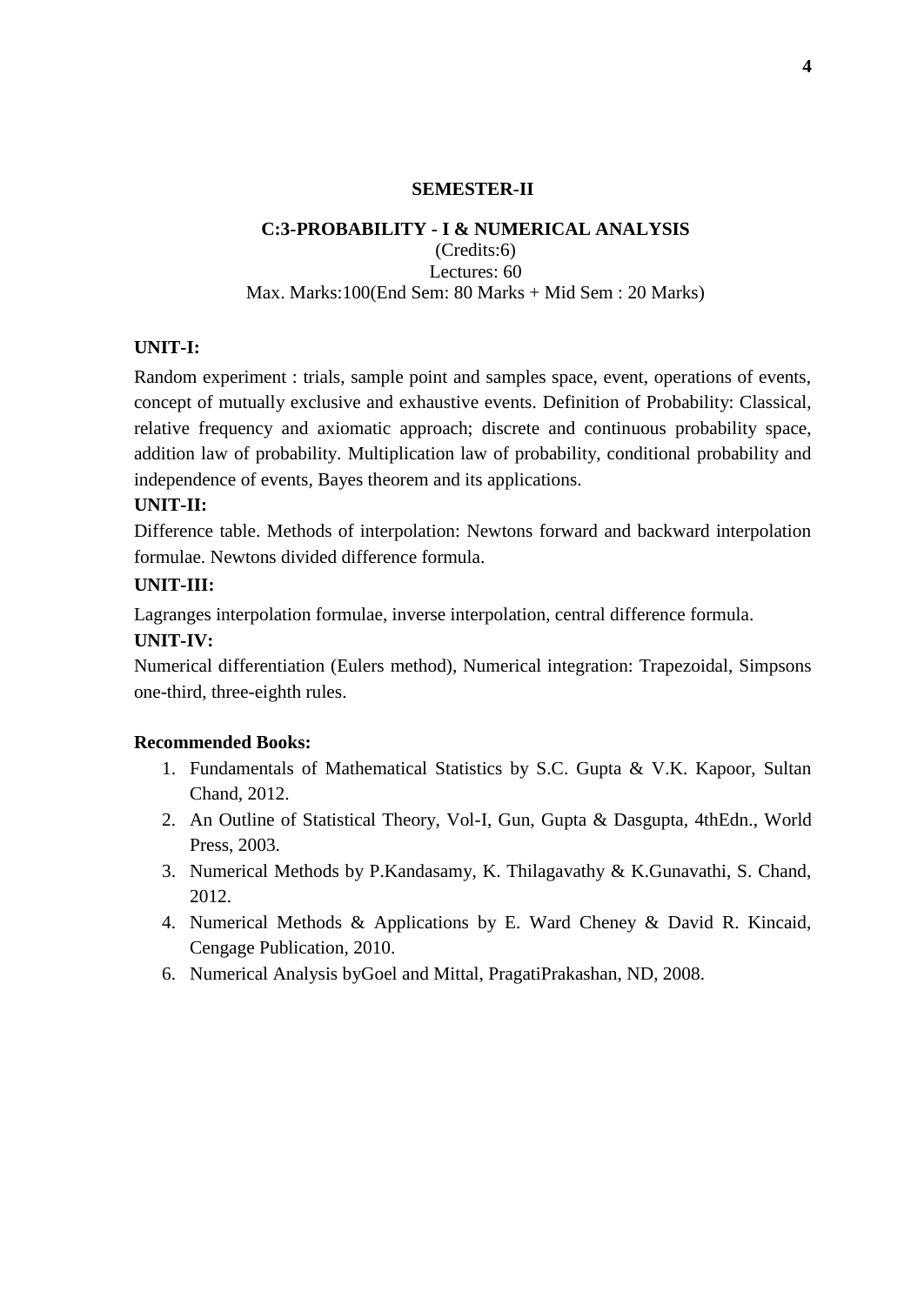#### **SEMESTER-II**

## **C:3-PROBABILITY - I & NUMERICAL ANALYSIS**

## (Credits:6) Lectures: 60 Max. Marks:100(End Sem: 80 Marks + Mid Sem : 20 Marks)

## **UNIT-I:**

Random experiment : trials, sample point and samples space, event, operations of events, concept of mutually exclusive and exhaustive events. Definition of Probability: Classical, relative frequency and axiomatic approach; discrete and continuous probability space, addition law of probability. Multiplication law of probability, conditional probability and independence of events, Bayes theorem and its applications.

#### **UNIT-II:**

Difference table. Methods of interpolation: Newtons forward and backward interpolation formulae. Newtons divided difference formula.

## **UNIT-III:**

Lagranges interpolation formulae, inverse interpolation, central difference formula.

## **UNIT-IV:**

Numerical differentiation (Eulers method), Numerical integration: Trapezoidal, Simpsons one-third, three-eighth rules.

## **Recommended Books:**

- 1. Fundamentals of Mathematical Statistics by S.C. Gupta & V.K. Kapoor, Sultan Chand, 2012.
- 2. An Outline of Statistical Theory, Vol-I, Gun, Gupta & Dasgupta, 4thEdn., World Press, 2003.
- 3. Numerical Methods by P.Kandasamy, K. Thilagavathy & K.Gunavathi, S. Chand, 2012.
- 4. Numerical Methods & Applications by E. Ward Cheney & David R. Kincaid, Cengage Publication, 2010.
- 6. Numerical Analysis byGoel and Mittal, PragatiPrakashan, ND, 2008.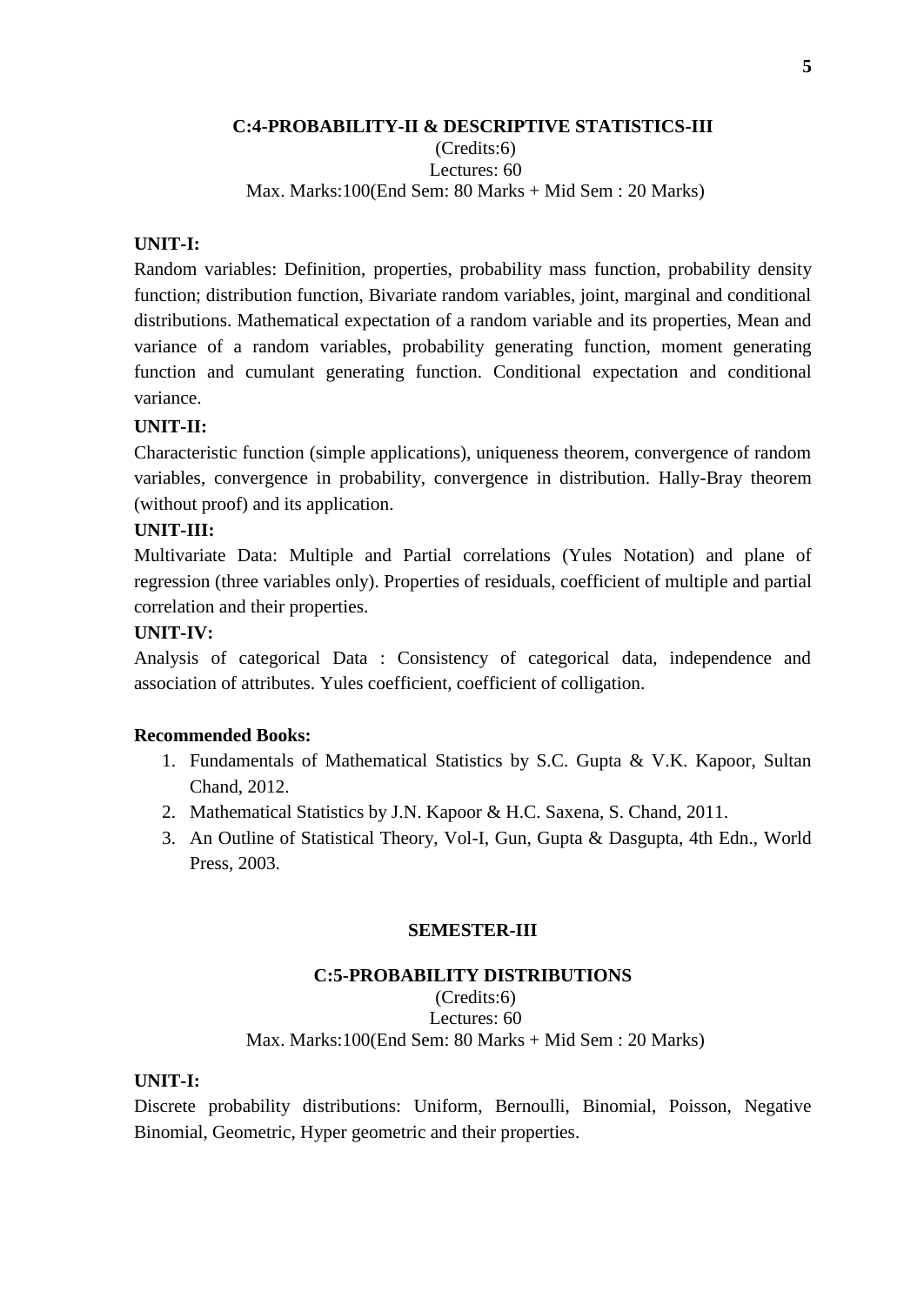**C:4-PROBABILITY-II & DESCRIPTIVE STATISTICS-III**

(Credits:6)

Lectures: 60 Max. Marks:100(End Sem: 80 Marks + Mid Sem : 20 Marks)

## **UNIT-I:**

Random variables: Definition, properties, probability mass function, probability density function; distribution function, Bivariate random variables, joint, marginal and conditional distributions. Mathematical expectation of a random variable and its properties, Mean and variance of a random variables, probability generating function, moment generating function and cumulant generating function. Conditional expectation and conditional variance.

## **UNIT-II:**

Characteristic function (simple applications), uniqueness theorem, convergence of random variables, convergence in probability, convergence in distribution. Hally-Bray theorem (without proof) and its application.

## **UNIT-III:**

Multivariate Data: Multiple and Partial correlations (Yules Notation) and plane of regression (three variables only). Properties of residuals, coefficient of multiple and partial correlation and their properties.

#### **UNIT-IV:**

Analysis of categorical Data : Consistency of categorical data, independence and association of attributes. Yules coefficient, coefficient of colligation.

#### **Recommended Books:**

- 1. Fundamentals of Mathematical Statistics by S.C. Gupta & V.K. Kapoor, Sultan Chand, 2012.
- 2. Mathematical Statistics by J.N. Kapoor & H.C. Saxena, S. Chand, 2011.
- 3. An Outline of Statistical Theory, Vol-I, Gun, Gupta & Dasgupta, 4th Edn., World Press, 2003.

#### **SEMESTER-III**

#### **C:5-PROBABILITY DISTRIBUTIONS**

(Credits:6) Lectures: 60

# Max. Marks:100(End Sem: 80 Marks + Mid Sem : 20 Marks)

## **UNIT-I:**

Discrete probability distributions: Uniform, Bernoulli, Binomial, Poisson, Negative Binomial, Geometric, Hyper geometric and their properties.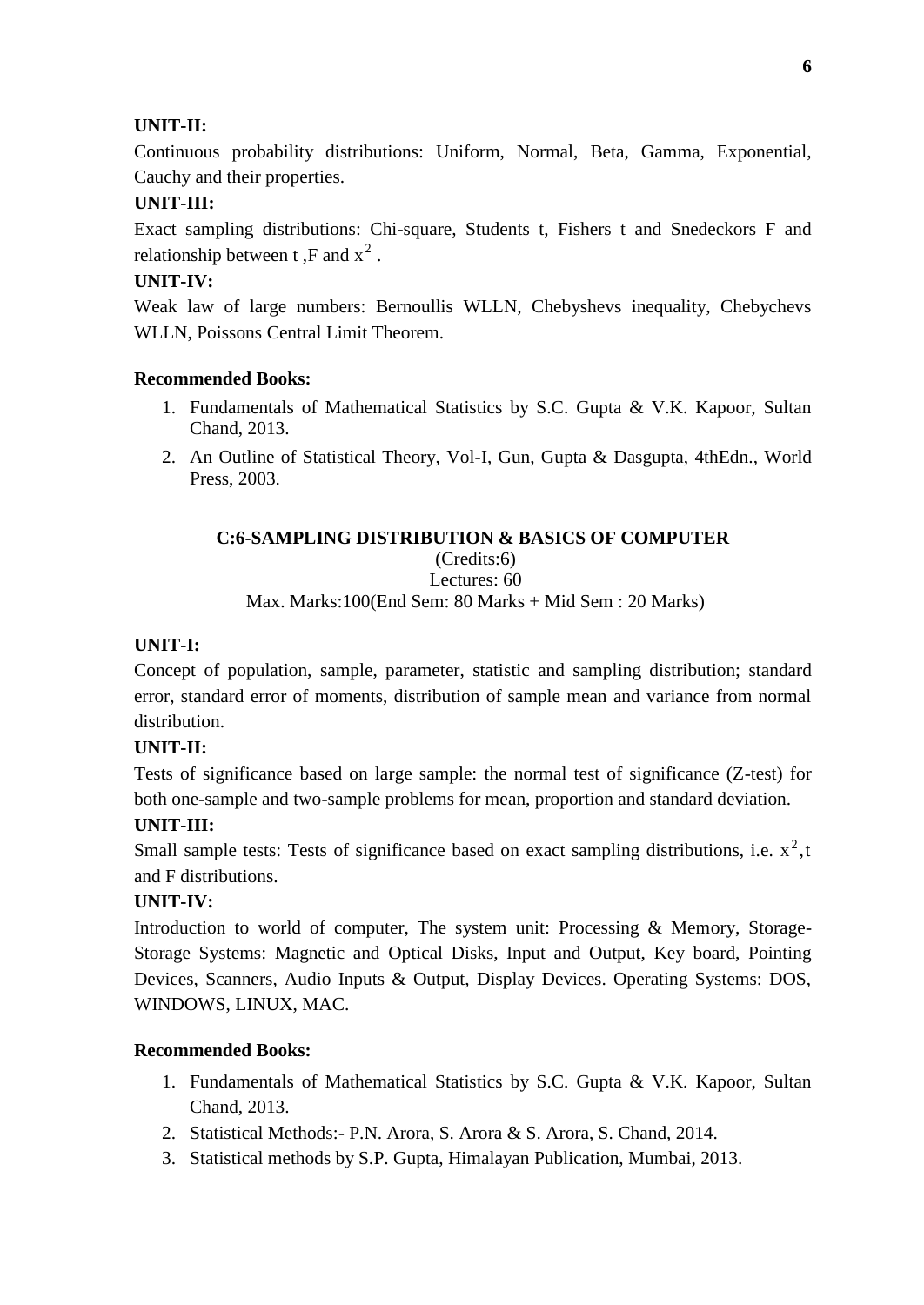# **UNIT-II:**

Continuous probability distributions: Uniform, Normal, Beta, Gamma, Exponential, Cauchy and their properties.

# **UNIT-III:**

Exact sampling distributions: Chi-square, Students t, Fishers t and Snedeckors F and relationship between t, F and  $x^2$ .

# **UNIT-IV:**

Weak law of large numbers: Bernoullis WLLN, Chebyshevs inequality, Chebychevs WLLN, Poissons Central Limit Theorem.

# **Recommended Books:**

- 1. Fundamentals of Mathematical Statistics by S.C. Gupta & V.K. Kapoor, Sultan Chand, 2013.
- 2. An Outline of Statistical Theory, Vol-I, Gun, Gupta & Dasgupta, 4thEdn., World Press, 2003.

# **C:6-SAMPLING DISTRIBUTION & BASICS OF COMPUTER**

(Credits:6)

Lectures: 60 Max. Marks:100(End Sem: 80 Marks + Mid Sem : 20 Marks)

# **UNIT-I:**

Concept of population, sample, parameter, statistic and sampling distribution; standard error, standard error of moments, distribution of sample mean and variance from normal distribution.

# **UNIT-II:**

Tests of significance based on large sample: the normal test of significance (Z-test) for both one-sample and two-sample problems for mean, proportion and standard deviation.

# **UNIT-III:**

Small sample tests: Tests of significance based on exact sampling distributions, i.e.  $x^2$ , t and F distributions.

# **UNIT-IV:**

Introduction to world of computer, The system unit: Processing & Memory, Storage-Storage Systems: Magnetic and Optical Disks, Input and Output, Key board, Pointing Devices, Scanners, Audio Inputs & Output, Display Devices. Operating Systems: DOS, WINDOWS, LINUX, MAC.

# **Recommended Books:**

- 1. Fundamentals of Mathematical Statistics by S.C. Gupta & V.K. Kapoor, Sultan Chand, 2013.
- 2. Statistical Methods:- P.N. Arora, S. Arora & S. Arora, S. Chand, 2014.
- 3. Statistical methods by S.P. Gupta, Himalayan Publication, Mumbai, 2013.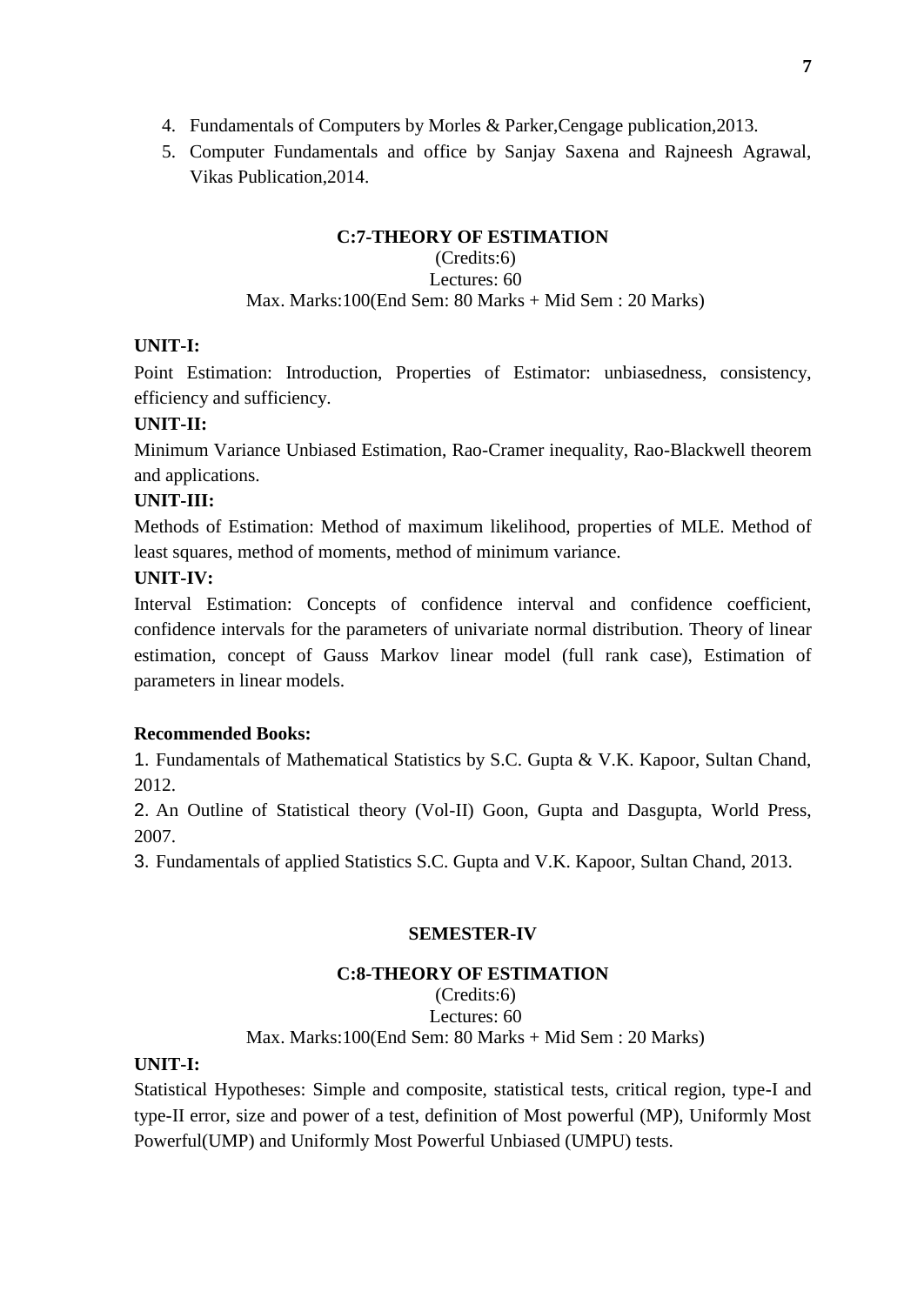- 4. Fundamentals of Computers by Morles & Parker,Cengage publication,2013.
- 5. Computer Fundamentals and office by Sanjay Saxena and Rajneesh Agrawal, Vikas Publication,2014.

## **C:7-THEORY OF ESTIMATION**

### (Credits:6) Lectures: 60 Max. Marks:100(End Sem: 80 Marks + Mid Sem : 20 Marks)

## **UNIT-I:**

Point Estimation: Introduction, Properties of Estimator: unbiasedness, consistency, efficiency and sufficiency.

## **UNIT-II:**

Minimum Variance Unbiased Estimation, Rao-Cramer inequality, Rao-Blackwell theorem and applications.

## **UNIT-III:**

Methods of Estimation: Method of maximum likelihood, properties of MLE. Method of least squares, method of moments, method of minimum variance.

## **UNIT-IV:**

Interval Estimation: Concepts of confidence interval and confidence coefficient, confidence intervals for the parameters of univariate normal distribution. Theory of linear estimation, concept of Gauss Markov linear model (full rank case), Estimation of parameters in linear models.

## **Recommended Books:**

1. Fundamentals of Mathematical Statistics by S.C. Gupta & V.K. Kapoor, Sultan Chand, 2012.

2. An Outline of Statistical theory (Vol-II) Goon, Gupta and Dasgupta, World Press, 2007.

3. Fundamentals of applied Statistics S.C. Gupta and V.K. Kapoor, Sultan Chand, 2013.

## **SEMESTER-IV**

#### **C:8-THEORY OF ESTIMATION**

(Credits:6) Lectures: 60

# Max. Marks:100(End Sem: 80 Marks + Mid Sem : 20 Marks)

# **UNIT-I:**

Statistical Hypotheses: Simple and composite, statistical tests, critical region, type-I and type-II error, size and power of a test, definition of Most powerful (MP), Uniformly Most Powerful(UMP) and Uniformly Most Powerful Unbiased (UMPU) tests.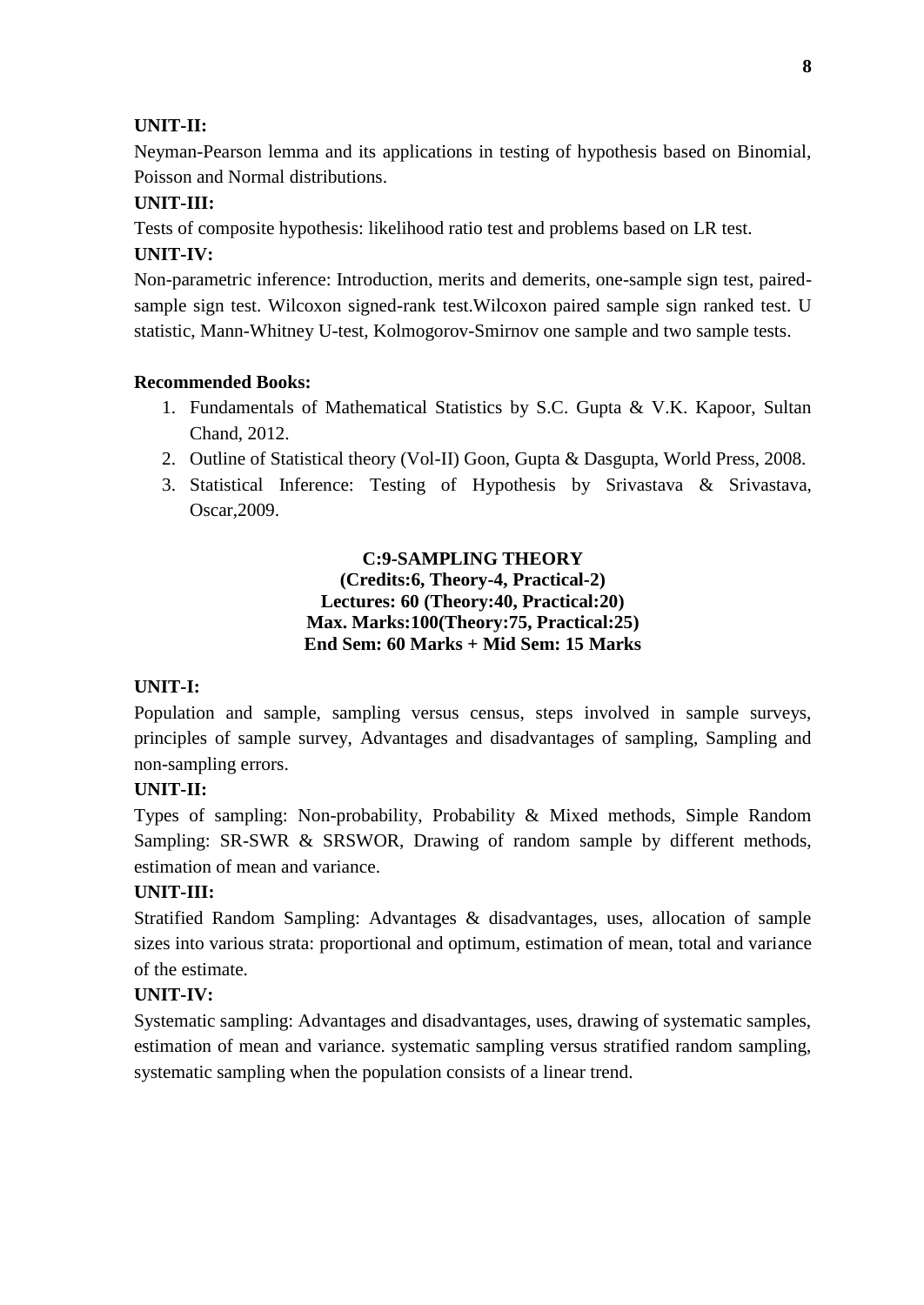# **UNIT-II:**

Neyman-Pearson lemma and its applications in testing of hypothesis based on Binomial, Poisson and Normal distributions.

# **UNIT-III:**

Tests of composite hypothesis: likelihood ratio test and problems based on LR test.

# **UNIT-IV:**

Non-parametric inference: Introduction, merits and demerits, one-sample sign test, pairedsample sign test. Wilcoxon signed-rank test.Wilcoxon paired sample sign ranked test. U statistic, Mann-Whitney U-test, Kolmogorov-Smirnov one sample and two sample tests.

# **Recommended Books:**

- 1. Fundamentals of Mathematical Statistics by S.C. Gupta & V.K. Kapoor, Sultan Chand, 2012.
- 2. Outline of Statistical theory (Vol-II) Goon, Gupta & Dasgupta, World Press, 2008.
- 3. Statistical Inference: Testing of Hypothesis by Srivastava & Srivastava, Oscar,2009.

## **C:9-SAMPLING THEORY (Credits:6, Theory-4, Practical-2) Lectures: 60 (Theory:40, Practical:20) Max. Marks:100(Theory:75, Practical:25) End Sem: 60 Marks + Mid Sem: 15 Marks**

# **UNIT-I:**

Population and sample, sampling versus census, steps involved in sample surveys, principles of sample survey, Advantages and disadvantages of sampling, Sampling and non-sampling errors.

# **UNIT-II:**

Types of sampling: Non-probability, Probability & Mixed methods, Simple Random Sampling: SR-SWR & SRSWOR, Drawing of random sample by different methods, estimation of mean and variance.

# **UNIT-III:**

Stratified Random Sampling: Advantages & disadvantages, uses, allocation of sample sizes into various strata: proportional and optimum, estimation of mean, total and variance of the estimate.

# **UNIT-IV:**

Systematic sampling: Advantages and disadvantages, uses, drawing of systematic samples, estimation of mean and variance. systematic sampling versus stratified random sampling, systematic sampling when the population consists of a linear trend.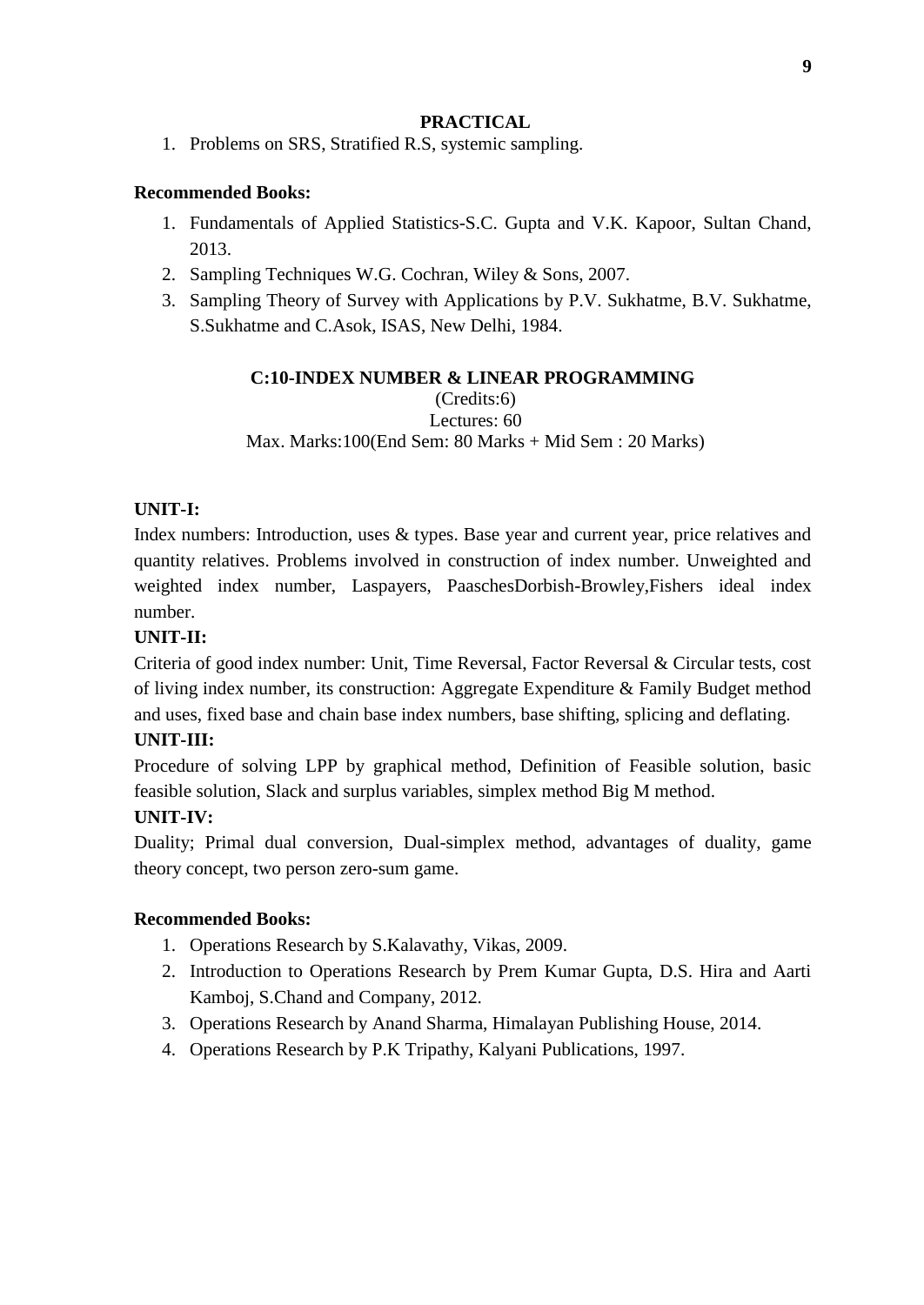#### **PRACTICAL**

1. Problems on SRS, Stratified R.S, systemic sampling.

#### **Recommended Books:**

- 1. Fundamentals of Applied Statistics-S.C. Gupta and V.K. Kapoor, Sultan Chand, 2013.
- 2. Sampling Techniques W.G. Cochran, Wiley & Sons, 2007.
- 3. Sampling Theory of Survey with Applications by P.V. Sukhatme, B.V. Sukhatme, S.Sukhatme and C.Asok, ISAS, New Delhi, 1984.

## **C:10-INDEX NUMBER & LINEAR PROGRAMMING** (Credits:6) Lectures: 60 Max. Marks:100(End Sem: 80 Marks + Mid Sem : 20 Marks)

#### **UNIT-I:**

Index numbers: Introduction, uses & types. Base year and current year, price relatives and quantity relatives. Problems involved in construction of index number. Unweighted and weighted index number, Laspayers, PaaschesDorbish-Browley,Fishers ideal index number.

# **UNIT-II:**

Criteria of good index number: Unit, Time Reversal, Factor Reversal & Circular tests, cost of living index number, its construction: Aggregate Expenditure & Family Budget method and uses, fixed base and chain base index numbers, base shifting, splicing and deflating.

# **UNIT-III:**

Procedure of solving LPP by graphical method, Definition of Feasible solution, basic feasible solution, Slack and surplus variables, simplex method Big M method.

# **UNIT-IV:**

Duality; Primal dual conversion, Dual-simplex method, advantages of duality, game theory concept, two person zero-sum game.

#### **Recommended Books:**

- 1. Operations Research by S.Kalavathy, Vikas, 2009.
- 2. Introduction to Operations Research by Prem Kumar Gupta, D.S. Hira and Aarti Kamboj, S.Chand and Company, 2012.
- 3. Operations Research by Anand Sharma, Himalayan Publishing House, 2014.
- 4. Operations Research by P.K Tripathy, Kalyani Publications, 1997.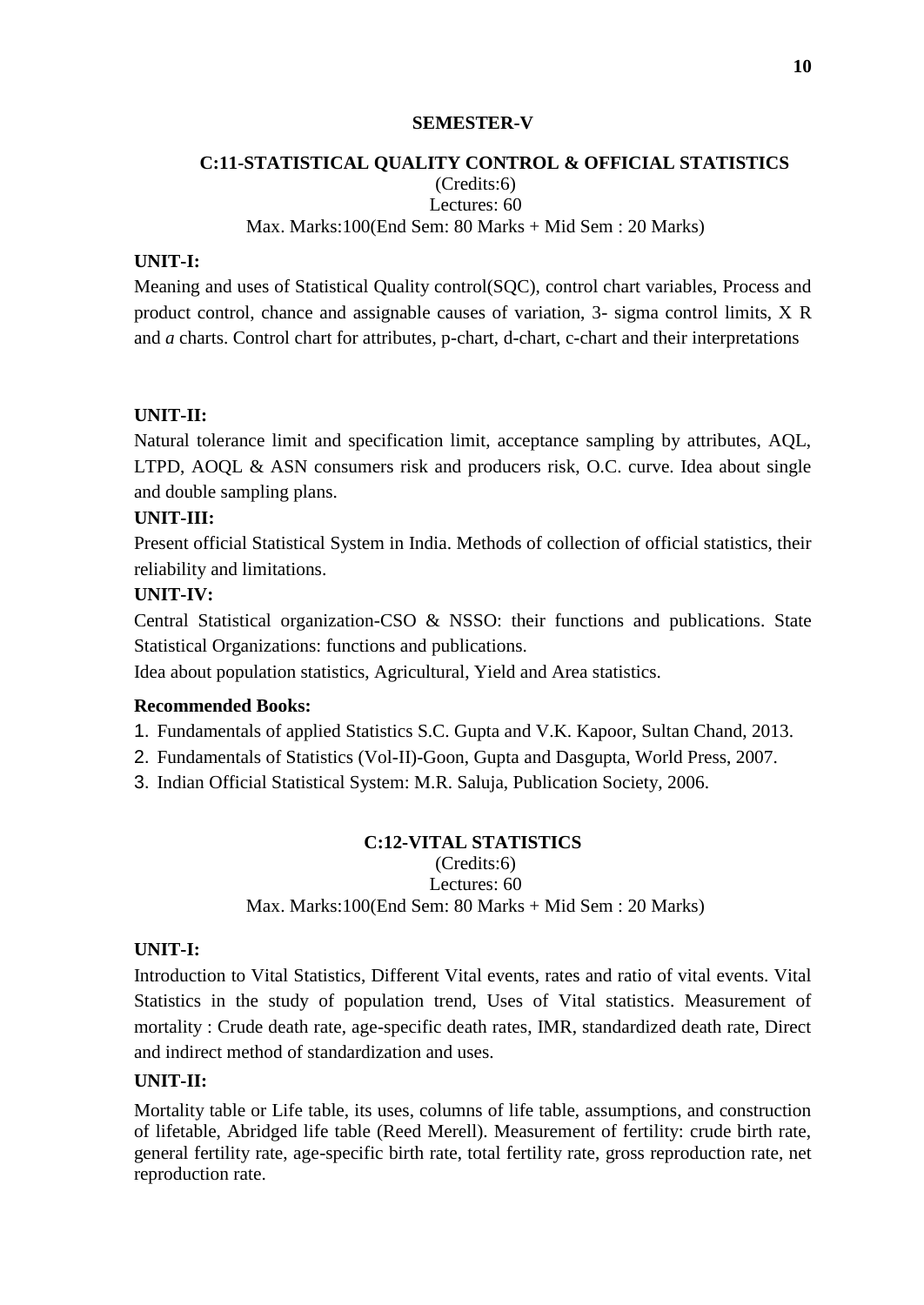## **SEMESTER-V**

## **C:11-STATISTICAL QUALITY CONTROL & OFFICIAL STATISTICS** (Credits:6) Lectures: 60 Max. Marks:100(End Sem: 80 Marks + Mid Sem : 20 Marks)

## **UNIT-I:**

Meaning and uses of Statistical Quality control(SQC), control chart variables, Process and product control, chance and assignable causes of variation, 3- sigma control limits, X R and *a* charts. Control chart for attributes, p-chart, d-chart, c-chart and their interpretations

## **UNIT-II:**

Natural tolerance limit and specification limit, acceptance sampling by attributes, AQL, LTPD, AOQL & ASN consumers risk and producers risk, O.C. curve. Idea about single and double sampling plans.

## **UNIT-III:**

Present official Statistical System in India. Methods of collection of official statistics, their reliability and limitations.

## **UNIT-IV:**

Central Statistical organization-CSO & NSSO: their functions and publications. State Statistical Organizations: functions and publications.

Idea about population statistics, Agricultural, Yield and Area statistics.

## **Recommended Books:**

- 1. Fundamentals of applied Statistics S.C. Gupta and V.K. Kapoor, Sultan Chand, 2013.
- 2. Fundamentals of Statistics (Vol-II)-Goon, Gupta and Dasgupta, World Press, 2007.
- 3. Indian Official Statistical System: M.R. Saluja, Publication Society, 2006.

# **C:12-VITAL STATISTICS**

(Credits:6)

Lectures: 60

# Max. Marks:100(End Sem: 80 Marks + Mid Sem : 20 Marks)

## **UNIT-I:**

Introduction to Vital Statistics, Different Vital events, rates and ratio of vital events. Vital Statistics in the study of population trend, Uses of Vital statistics. Measurement of mortality : Crude death rate, age-specific death rates, IMR, standardized death rate, Direct and indirect method of standardization and uses.

## **UNIT-II:**

Mortality table or Life table, its uses, columns of life table, assumptions, and construction of lifetable, Abridged life table (Reed Merell). Measurement of fertility: crude birth rate, general fertility rate, age-specific birth rate, total fertility rate, gross reproduction rate, net reproduction rate.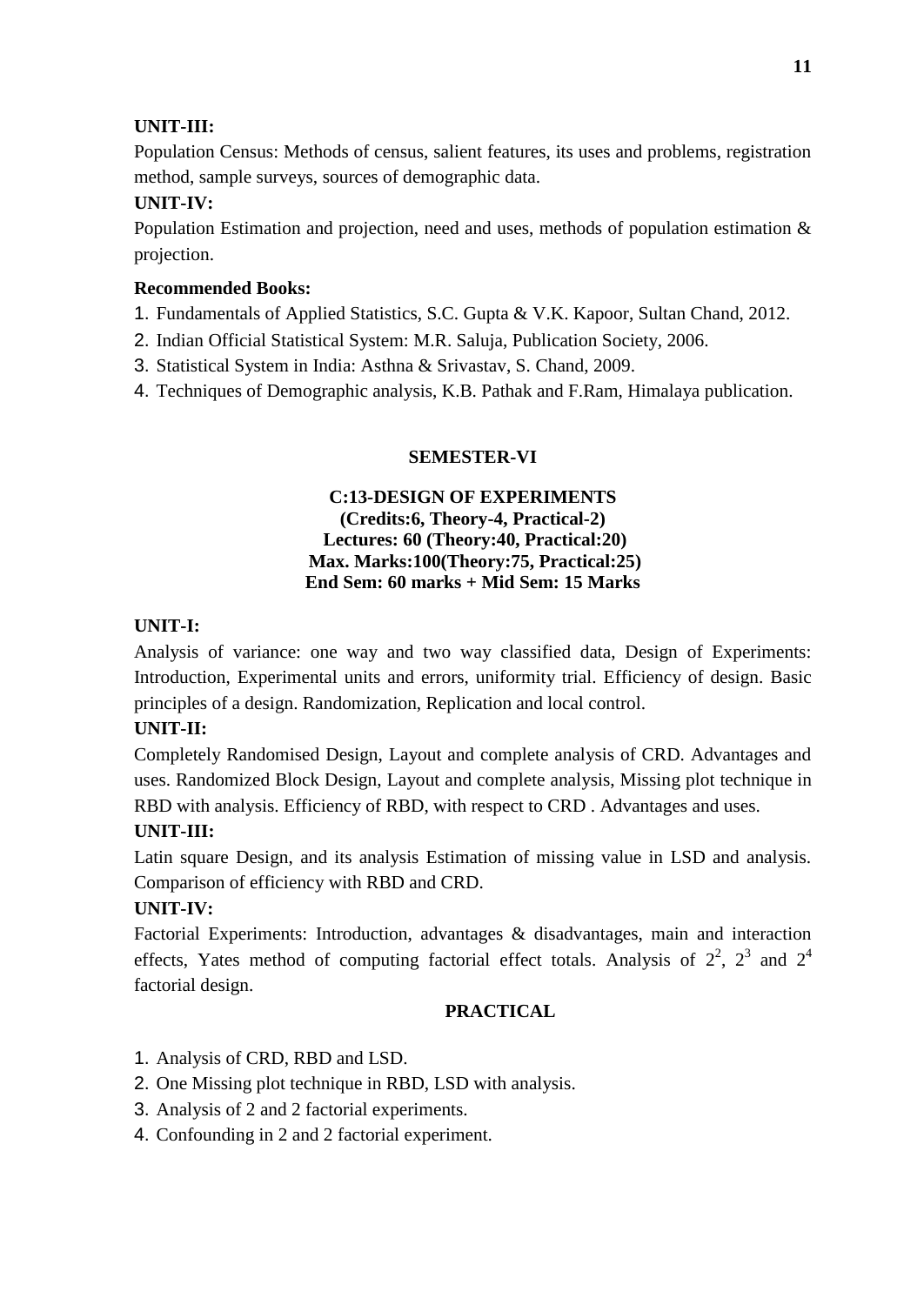# **UNIT-III:**

Population Census: Methods of census, salient features, its uses and problems, registration method, sample surveys, sources of demographic data.

# **UNIT-IV:**

Population Estimation and projection, need and uses, methods of population estimation & projection.

# **Recommended Books:**

- 1. Fundamentals of Applied Statistics, S.C. Gupta & V.K. Kapoor, Sultan Chand, 2012.
- 2. Indian Official Statistical System: M.R. Saluja, Publication Society, 2006.
- 3. Statistical System in India: Asthna & Srivastav, S. Chand, 2009.
- 4. Techniques of Demographic analysis, K.B. Pathak and F.Ram, Himalaya publication.

# **SEMESTER-VI**

# **C:13-DESIGN OF EXPERIMENTS (Credits:6, Theory-4, Practical-2) Lectures: 60 (Theory:40, Practical:20) Max. Marks:100(Theory:75, Practical:25) End Sem: 60 marks + Mid Sem: 15 Marks**

# **UNIT-I:**

Analysis of variance: one way and two way classified data, Design of Experiments: Introduction, Experimental units and errors, uniformity trial. Efficiency of design. Basic principles of a design. Randomization, Replication and local control.

# **UNIT-II:**

Completely Randomised Design, Layout and complete analysis of CRD. Advantages and uses. Randomized Block Design, Layout and complete analysis, Missing plot technique in RBD with analysis. Efficiency of RBD, with respect to CRD . Advantages and uses.

# **UNIT-III:**

Latin square Design, and its analysis Estimation of missing value in LSD and analysis. Comparison of efficiency with RBD and CRD.

# **UNIT-IV:**

Factorial Experiments: Introduction, advantages & disadvantages, main and interaction effects, Yates method of computing factorial effect totals. Analysis of  $2^2$ ,  $2^3$  and  $2^4$ factorial design.

# **PRACTICAL**

- 1. Analysis of CRD, RBD and LSD.
- 2. One Missing plot technique in RBD, LSD with analysis.
- 3. Analysis of 2 and 2 factorial experiments.
- 4. Confounding in 2 and 2 factorial experiment.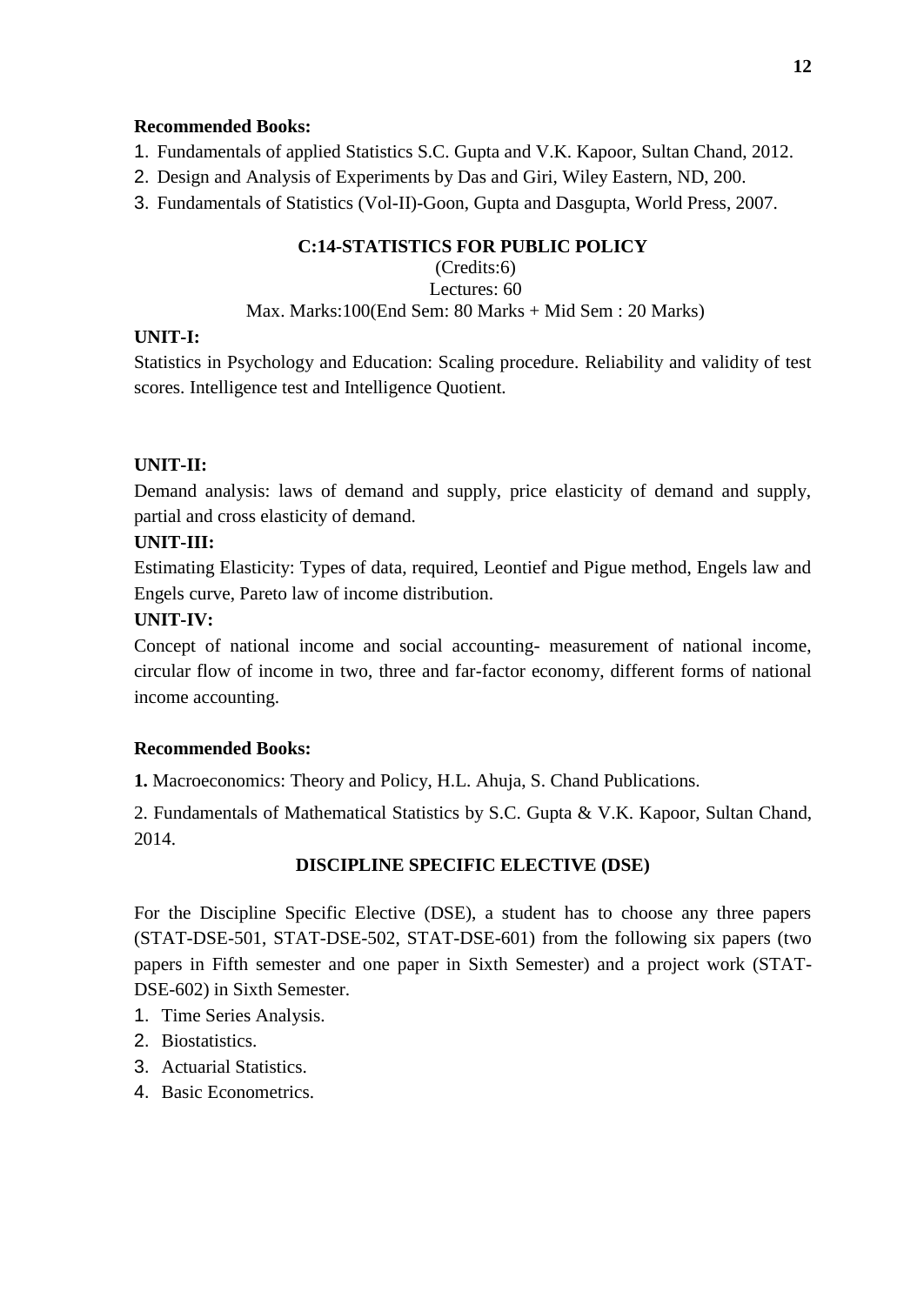## **Recommended Books:**

- 1. Fundamentals of applied Statistics S.C. Gupta and V.K. Kapoor, Sultan Chand, 2012.
- 2. Design and Analysis of Experiments by Das and Giri, Wiley Eastern, ND, 200.
- 3. Fundamentals of Statistics (Vol-II)-Goon, Gupta and Dasgupta, World Press, 2007.

# **C:14-STATISTICS FOR PUBLIC POLICY**

#### (Credits:6) Lectures: 60

# Max. Marks:100(End Sem: 80 Marks + Mid Sem : 20 Marks)

# **UNIT-I:**

Statistics in Psychology and Education: Scaling procedure. Reliability and validity of test scores. Intelligence test and Intelligence Quotient.

# **UNIT-II:**

Demand analysis: laws of demand and supply, price elasticity of demand and supply, partial and cross elasticity of demand.

# **UNIT-III:**

Estimating Elasticity: Types of data, required, Leontief and Pigue method, Engels law and Engels curve, Pareto law of income distribution.

# **UNIT-IV:**

Concept of national income and social accounting- measurement of national income, circular flow of income in two, three and far-factor economy, different forms of national income accounting.

# **Recommended Books:**

**1.** Macroeconomics: Theory and Policy, H.L. Ahuja, S. Chand Publications.

2. Fundamentals of Mathematical Statistics by S.C. Gupta & V.K. Kapoor, Sultan Chand, 2014.

# **DISCIPLINE SPECIFIC ELECTIVE (DSE)**

For the Discipline Specific Elective (DSE), a student has to choose any three papers (STAT-DSE-501, STAT-DSE-502, STAT-DSE-601) from the following six papers (two papers in Fifth semester and one paper in Sixth Semester) and a project work (STAT-DSE-602) in Sixth Semester.

- 1. Time Series Analysis.
- 2. Biostatistics.
- 3. Actuarial Statistics.
- 4. Basic Econometrics.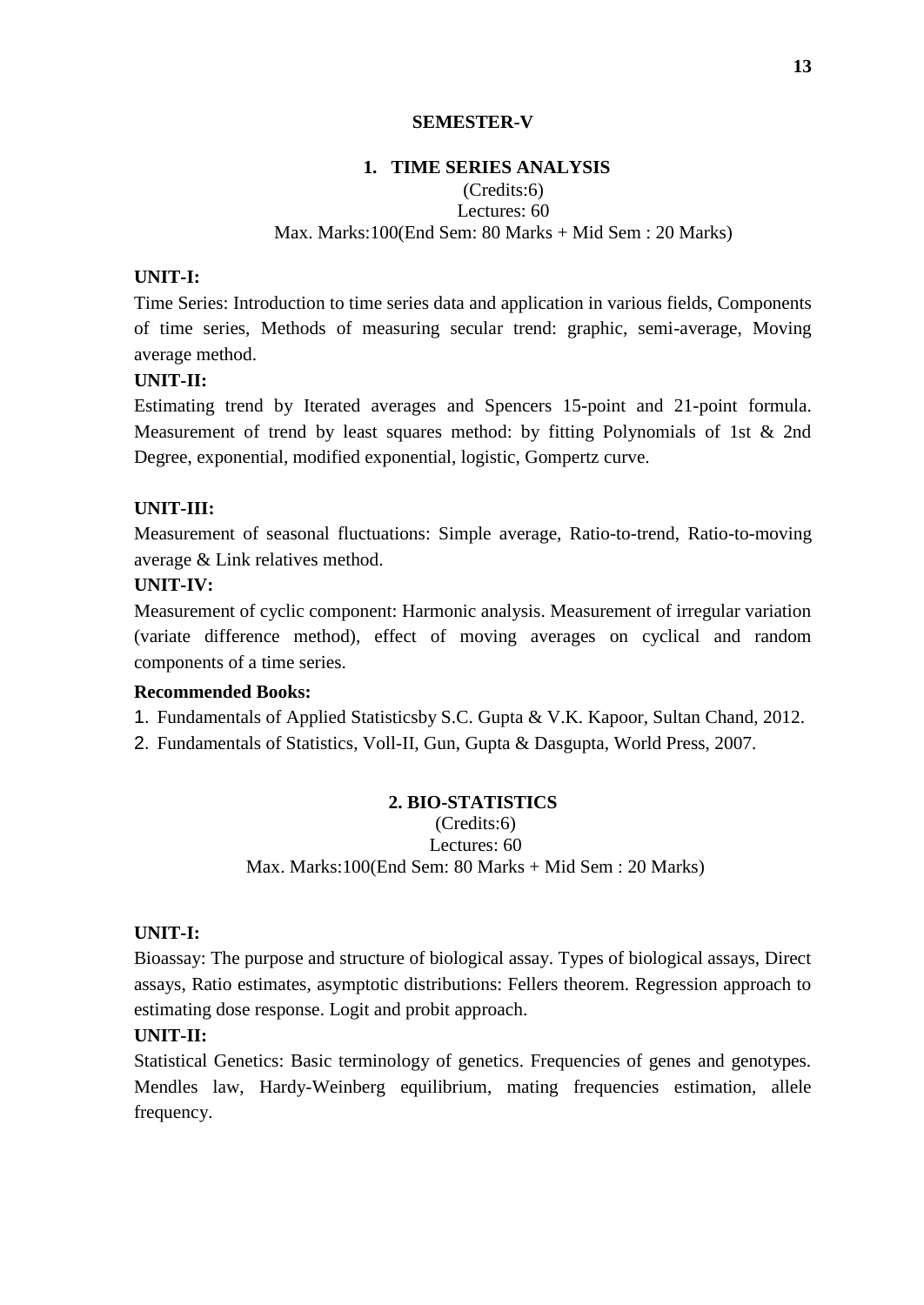### **SEMESTER-V**

## **1. TIME SERIES ANALYSIS**

## (Credits:6) Lectures: 60 Max. Marks:100(End Sem: 80 Marks + Mid Sem : 20 Marks)

### **UNIT-I:**

Time Series: Introduction to time series data and application in various fields, Components of time series, Methods of measuring secular trend: graphic, semi-average, Moving average method.

## **UNIT-II:**

Estimating trend by Iterated averages and Spencers 15-point and 21-point formula. Measurement of trend by least squares method: by fitting Polynomials of 1st & 2nd Degree, exponential, modified exponential, logistic, Gompertz curve.

## **UNIT-III:**

Measurement of seasonal fluctuations: Simple average, Ratio-to-trend, Ratio-to-moving average & Link relatives method.

## **UNIT-IV:**

Measurement of cyclic component: Harmonic analysis. Measurement of irregular variation (variate difference method), effect of moving averages on cyclical and random components of a time series.

#### **Recommended Books:**

1. Fundamentals of Applied Statisticsby S.C. Gupta & V.K. Kapoor, Sultan Chand, 2012.

2. Fundamentals of Statistics, Voll-II, Gun, Gupta & Dasgupta, World Press, 2007.

#### **2. BIO-STATISTICS**

(Credits:6) Lectures: 60 Max. Marks:100(End Sem: 80 Marks + Mid Sem : 20 Marks)

## **UNIT-I:**

Bioassay: The purpose and structure of biological assay. Types of biological assays, Direct assays, Ratio estimates, asymptotic distributions: Fellers theorem. Regression approach to estimating dose response. Logit and probit approach.

## **UNIT-II:**

Statistical Genetics: Basic terminology of genetics. Frequencies of genes and genotypes. Mendles law, Hardy-Weinberg equilibrium, mating frequencies estimation, allele frequency.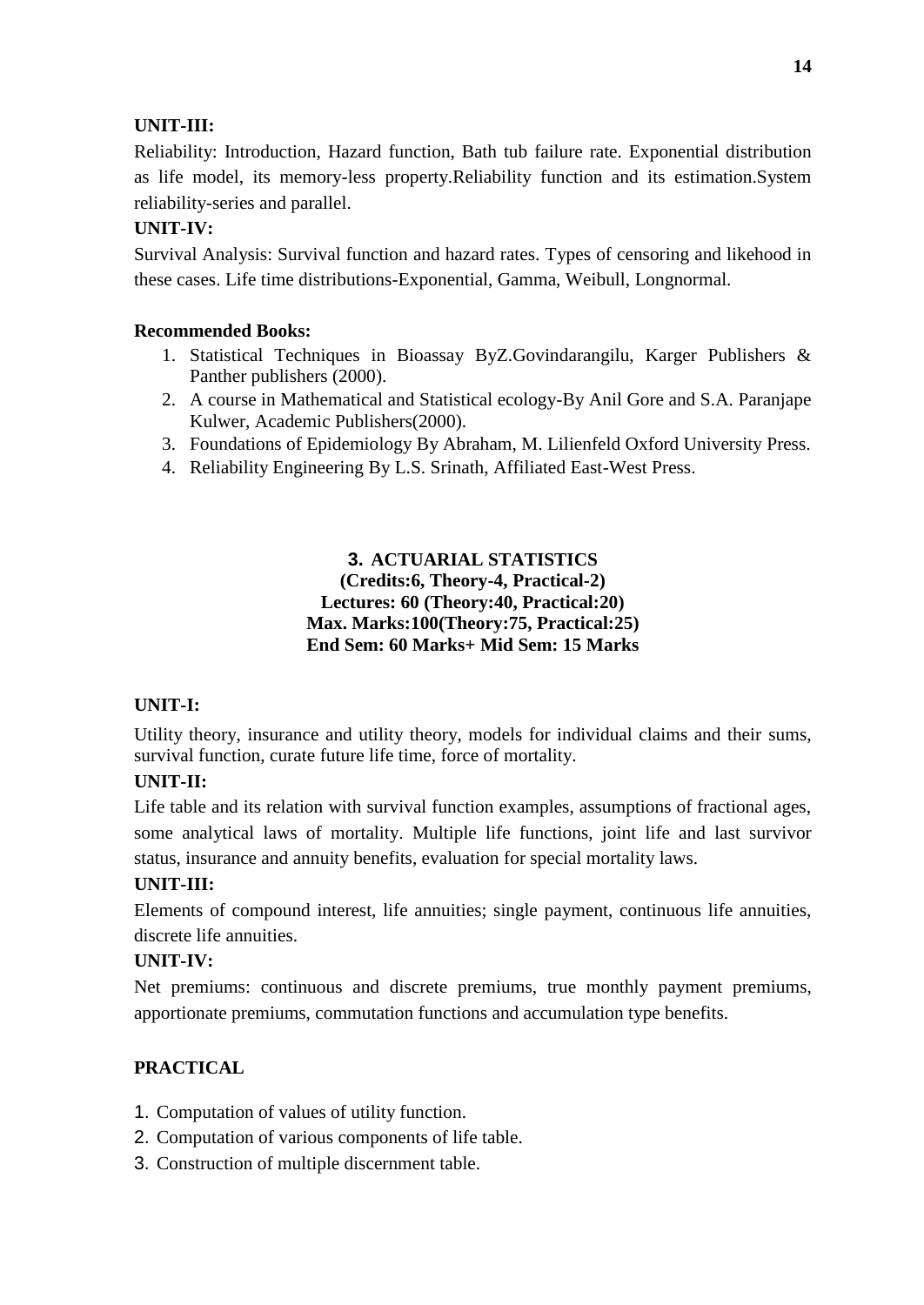# **UNIT-III:**

Reliability: Introduction, Hazard function, Bath tub failure rate. Exponential distribution as life model, its memory-less property.Reliability function and its estimation.System reliability-series and parallel.

# **UNIT-IV:**

Survival Analysis: Survival function and hazard rates. Types of censoring and likehood in these cases. Life time distributions-Exponential, Gamma, Weibull, Longnormal.

# **Recommended Books:**

- 1. Statistical Techniques in Bioassay ByZ.Govindarangilu, Karger Publishers & Panther publishers (2000).
- 2. A course in Mathematical and Statistical ecology-By Anil Gore and S.A. Paranjape Kulwer, Academic Publishers(2000).
- 3. Foundations of Epidemiology By Abraham, M. Lilienfeld Oxford University Press.
- 4. Reliability Engineering By L.S. Srinath, Affiliated East-West Press.

# **3. ACTUARIAL STATISTICS (Credits:6, Theory-4, Practical-2) Lectures: 60 (Theory:40, Practical:20) Max. Marks:100(Theory:75, Practical:25) End Sem: 60 Marks+ Mid Sem: 15 Marks**

# **UNIT-I:**

Utility theory, insurance and utility theory, models for individual claims and their sums, survival function, curate future life time, force of mortality.

# **UNIT-II:**

Life table and its relation with survival function examples, assumptions of fractional ages, some analytical laws of mortality. Multiple life functions, joint life and last survivor status, insurance and annuity benefits, evaluation for special mortality laws.

# **UNIT-III:**

Elements of compound interest, life annuities; single payment, continuous life annuities, discrete life annuities.

# **UNIT-IV:**

Net premiums: continuous and discrete premiums, true monthly payment premiums, apportionate premiums, commutation functions and accumulation type benefits.

# **PRACTICAL**

- 1. Computation of values of utility function.
- 2. Computation of various components of life table.
- 3. Construction of multiple discernment table.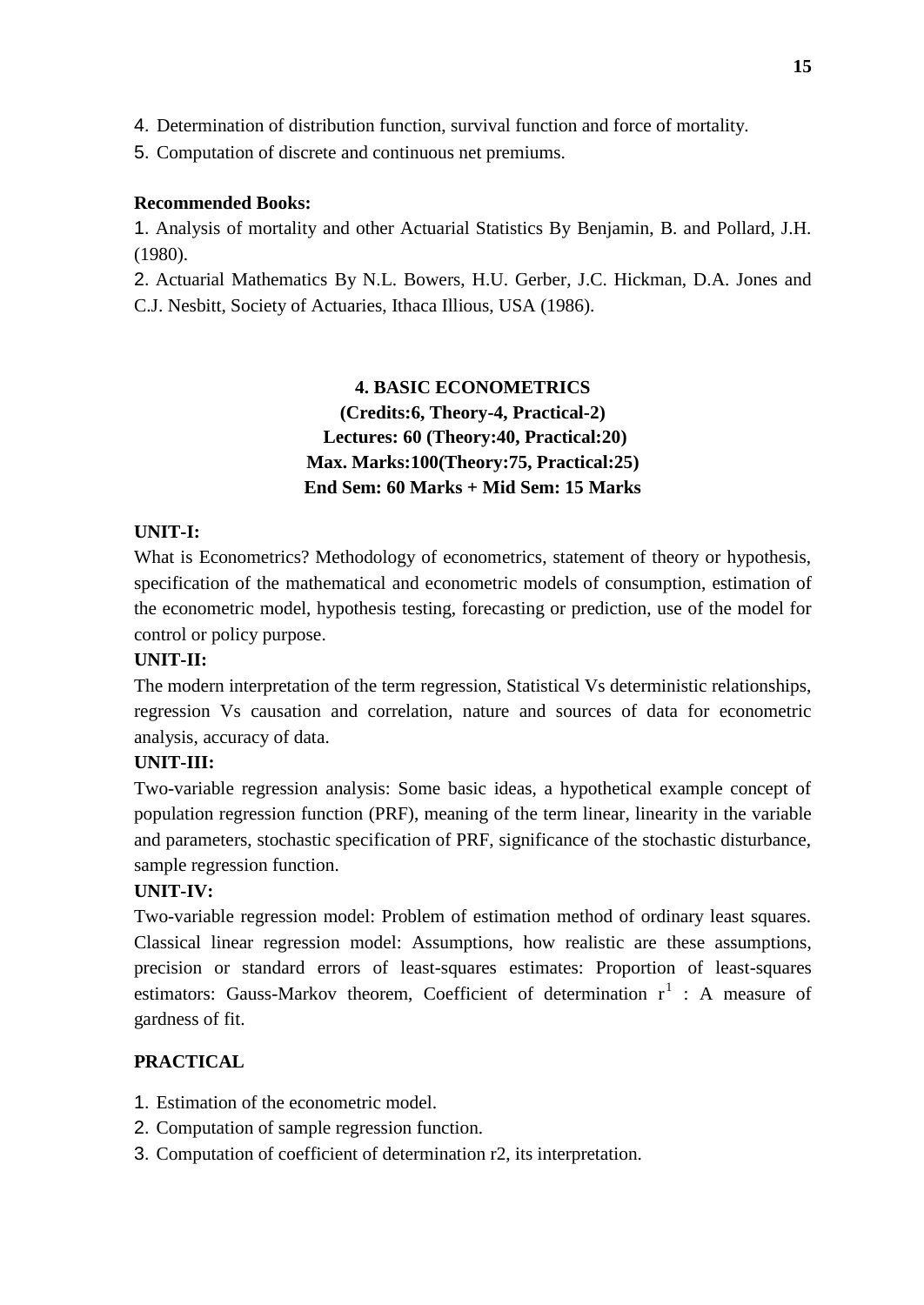- 4. Determination of distribution function, survival function and force of mortality.
- 5. Computation of discrete and continuous net premiums.

## **Recommended Books:**

1. Analysis of mortality and other Actuarial Statistics By Benjamin, B. and Pollard, J.H. (1980).

2. Actuarial Mathematics By N.L. Bowers, H.U. Gerber, J.C. Hickman, D.A. Jones and C.J. Nesbitt, Society of Actuaries, Ithaca Illious, USA (1986).

## **4. BASIC ECONOMETRICS**

**(Credits:6, Theory-4, Practical-2) Lectures: 60 (Theory:40, Practical:20) Max. Marks:100(Theory:75, Practical:25) End Sem: 60 Marks + Mid Sem: 15 Marks**

## **UNIT-I:**

What is Econometrics? Methodology of econometrics, statement of theory or hypothesis, specification of the mathematical and econometric models of consumption, estimation of the econometric model, hypothesis testing, forecasting or prediction, use of the model for control or policy purpose.

## **UNIT-II:**

The modern interpretation of the term regression, Statistical Vs deterministic relationships, regression Vs causation and correlation, nature and sources of data for econometric analysis, accuracy of data.

# **UNIT-III:**

Two-variable regression analysis: Some basic ideas, a hypothetical example concept of population regression function (PRF), meaning of the term linear, linearity in the variable and parameters, stochastic specification of PRF, significance of the stochastic disturbance, sample regression function.

## **UNIT-IV:**

Two-variable regression model: Problem of estimation method of ordinary least squares. Classical linear regression model: Assumptions, how realistic are these assumptions, precision or standard errors of least-squares estimates: Proportion of least-squares estimators: Gauss-Markov theorem, Coefficient of determination  $r^1$ : A measure of gardness of fit.

## **PRACTICAL**

- 1. Estimation of the econometric model.
- 2. Computation of sample regression function.
- 3. Computation of coefficient of determination r2, its interpretation.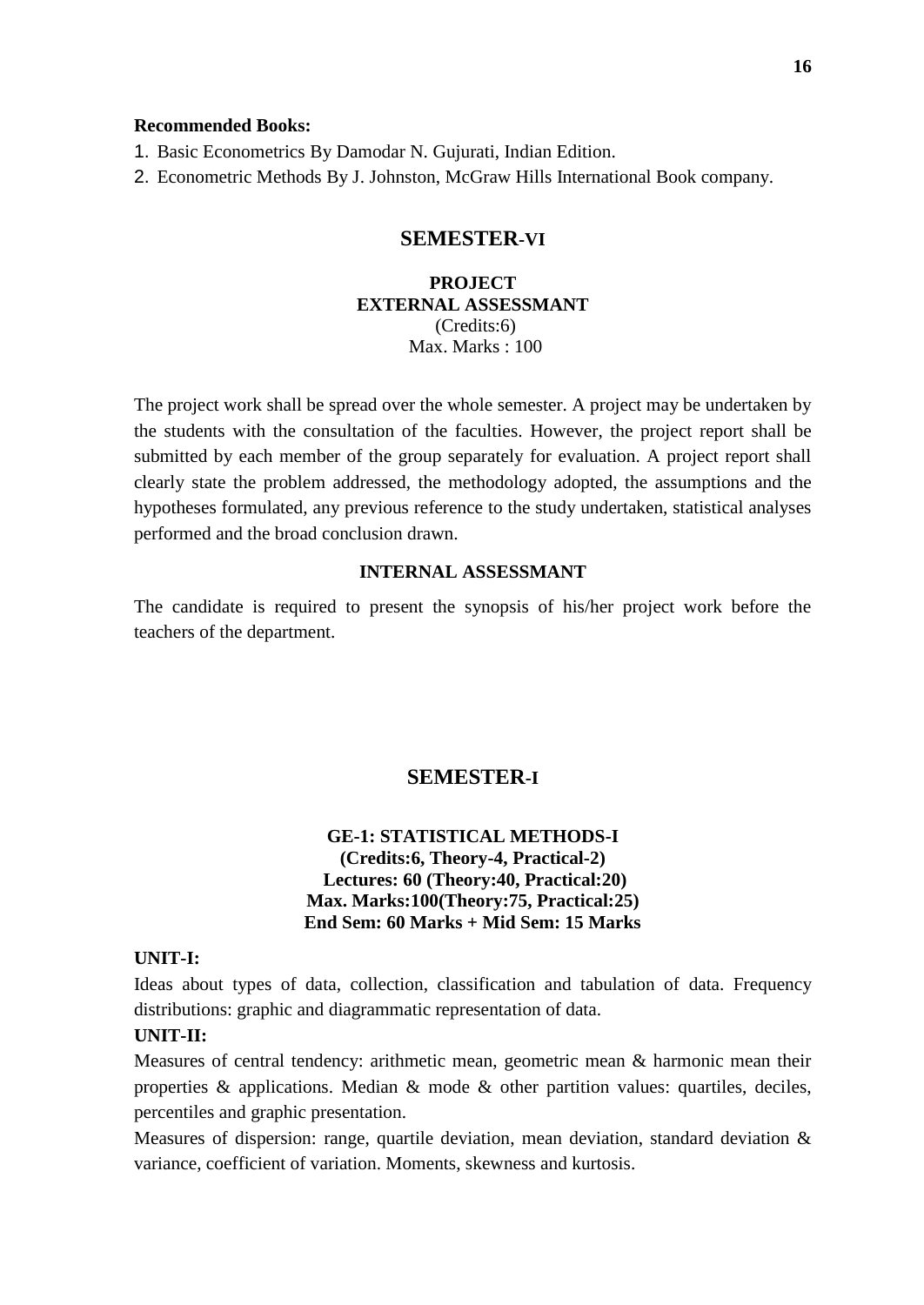#### **Recommended Books:**

- 1. Basic Econometrics By Damodar N. Gujurati, Indian Edition.
- 2. Econometric Methods By J. Johnston, McGraw Hills International Book company.

## **SEMESTER-VI**

## **PROJECT EXTERNAL ASSESSMANT** (Credits:6) Max. Marks : 100

The project work shall be spread over the whole semester. A project may be undertaken by the students with the consultation of the faculties. However, the project report shall be submitted by each member of the group separately for evaluation. A project report shall clearly state the problem addressed, the methodology adopted, the assumptions and the hypotheses formulated, any previous reference to the study undertaken, statistical analyses performed and the broad conclusion drawn.

## **INTERNAL ASSESSMANT**

The candidate is required to present the synopsis of his/her project work before the teachers of the department.

# **SEMESTER-I**

## **GE-1: STATISTICAL METHODS-I (Credits:6, Theory-4, Practical-2) Lectures: 60 (Theory:40, Practical:20) Max. Marks:100(Theory:75, Practical:25) End Sem: 60 Marks + Mid Sem: 15 Marks**

## **UNIT-I:**

Ideas about types of data, collection, classification and tabulation of data. Frequency distributions: graphic and diagrammatic representation of data.

#### **UNIT-II:**

Measures of central tendency: arithmetic mean, geometric mean & harmonic mean their properties & applications. Median & mode & other partition values: quartiles, deciles, percentiles and graphic presentation.

Measures of dispersion: range, quartile deviation, mean deviation, standard deviation & variance, coefficient of variation. Moments, skewness and kurtosis.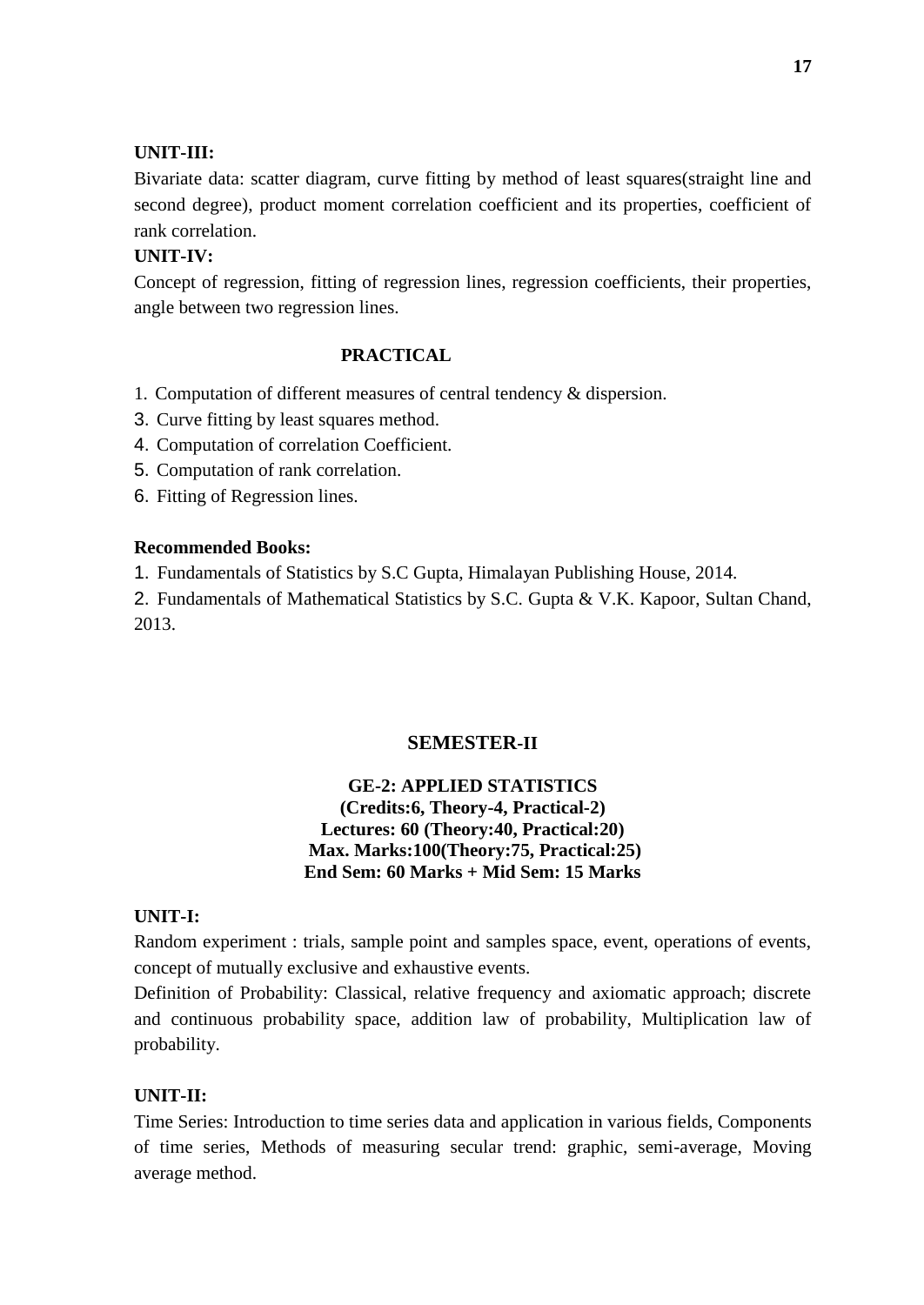# **UNIT-III:**

Bivariate data: scatter diagram, curve fitting by method of least squares(straight line and second degree), product moment correlation coefficient and its properties, coefficient of rank correlation.

# **UNIT-IV:**

Concept of regression, fitting of regression lines, regression coefficients, their properties, angle between two regression lines.

## **PRACTICAL**

- 1. Computation of different measures of central tendency & dispersion.
- 3. Curve fitting by least squares method.
- 4. Computation of correlation Coefficient.
- 5. Computation of rank correlation.
- 6. Fitting of Regression lines.

#### **Recommended Books:**

1. Fundamentals of Statistics by S.C Gupta, Himalayan Publishing House, 2014.

2. Fundamentals of Mathematical Statistics by S.C. Gupta & V.K. Kapoor, Sultan Chand, 2013.

## **SEMESTER-II**

## **GE-2: APPLIED STATISTICS (Credits:6, Theory-4, Practical-2) Lectures: 60 (Theory:40, Practical:20) Max. Marks:100(Theory:75, Practical:25) End Sem: 60 Marks + Mid Sem: 15 Marks**

### **UNIT-I:**

Random experiment : trials, sample point and samples space, event, operations of events, concept of mutually exclusive and exhaustive events.

Definition of Probability: Classical, relative frequency and axiomatic approach; discrete and continuous probability space, addition law of probability, Multiplication law of probability.

## **UNIT-II:**

Time Series: Introduction to time series data and application in various fields, Components of time series, Methods of measuring secular trend: graphic, semi-average, Moving average method.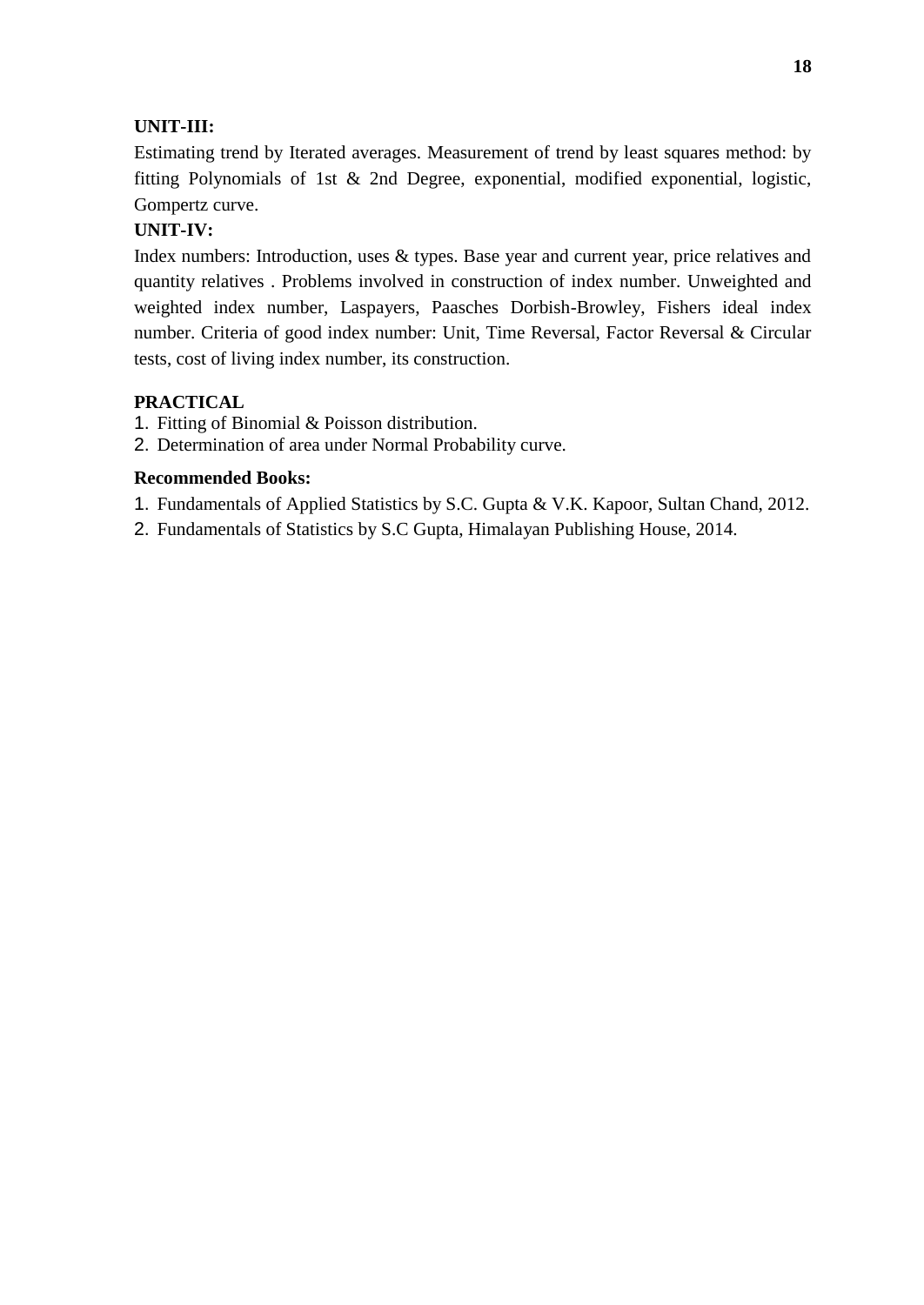# **UNIT-III:**

Estimating trend by Iterated averages. Measurement of trend by least squares method: by fitting Polynomials of 1st & 2nd Degree, exponential, modified exponential, logistic, Gompertz curve.

# **UNIT-IV:**

Index numbers: Introduction, uses & types. Base year and current year, price relatives and quantity relatives . Problems involved in construction of index number. Unweighted and weighted index number, Laspayers, Paasches Dorbish-Browley, Fishers ideal index number. Criteria of good index number: Unit, Time Reversal, Factor Reversal & Circular tests, cost of living index number, its construction.

## **PRACTICAL**

- 1. Fitting of Binomial & Poisson distribution.
- 2. Determination of area under Normal Probability curve.

## **Recommended Books:**

- 1. Fundamentals of Applied Statistics by S.C. Gupta & V.K. Kapoor, Sultan Chand, 2012.
- 2. Fundamentals of Statistics by S.C Gupta, Himalayan Publishing House, 2014.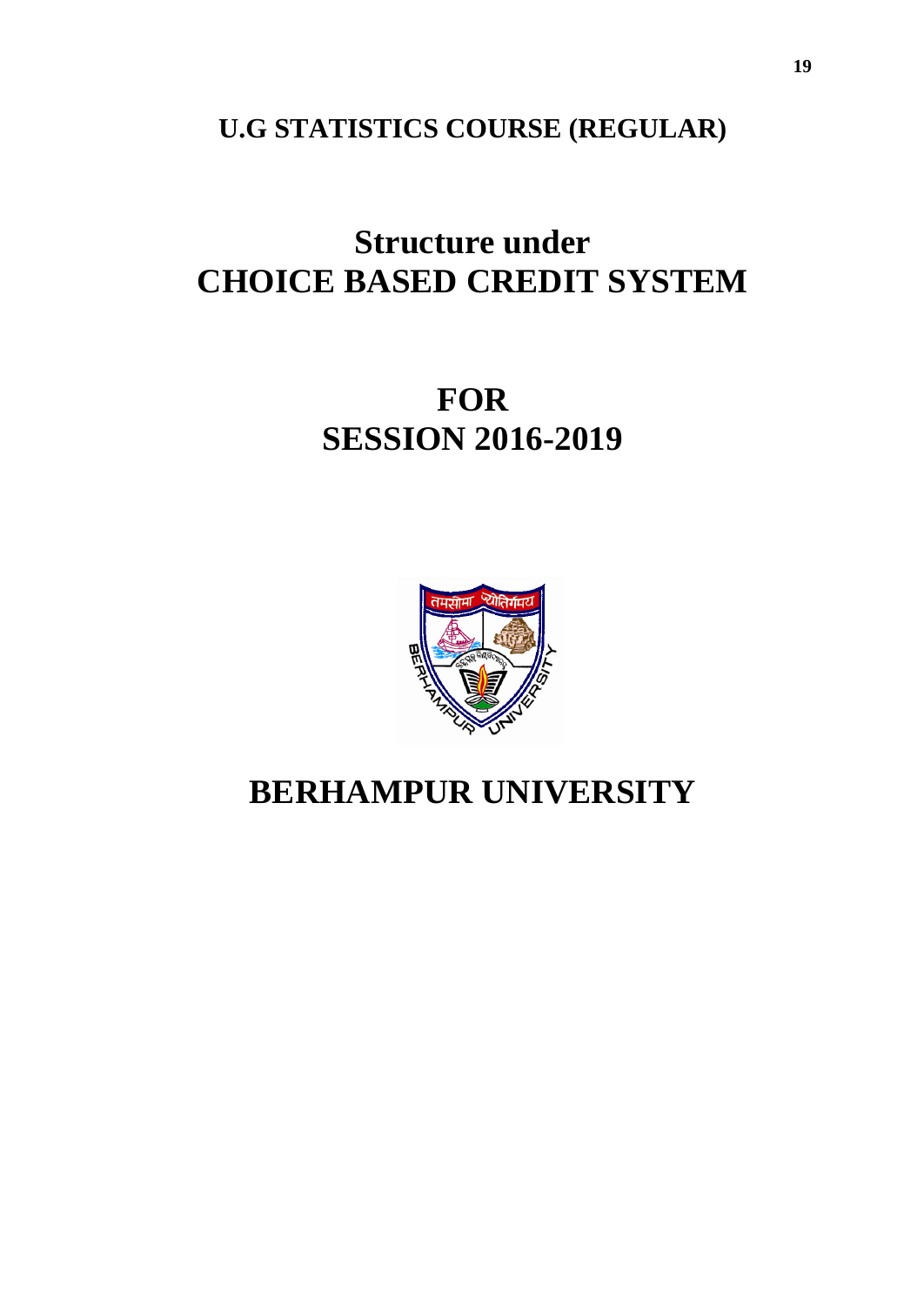# **U.G STATISTICS COURSE (REGULAR)**

# **Structure under CHOICE BASED CREDIT SYSTEM**

# **FOR SESSION 2016-2019**



# **BERHAMPUR UNIVERSITY**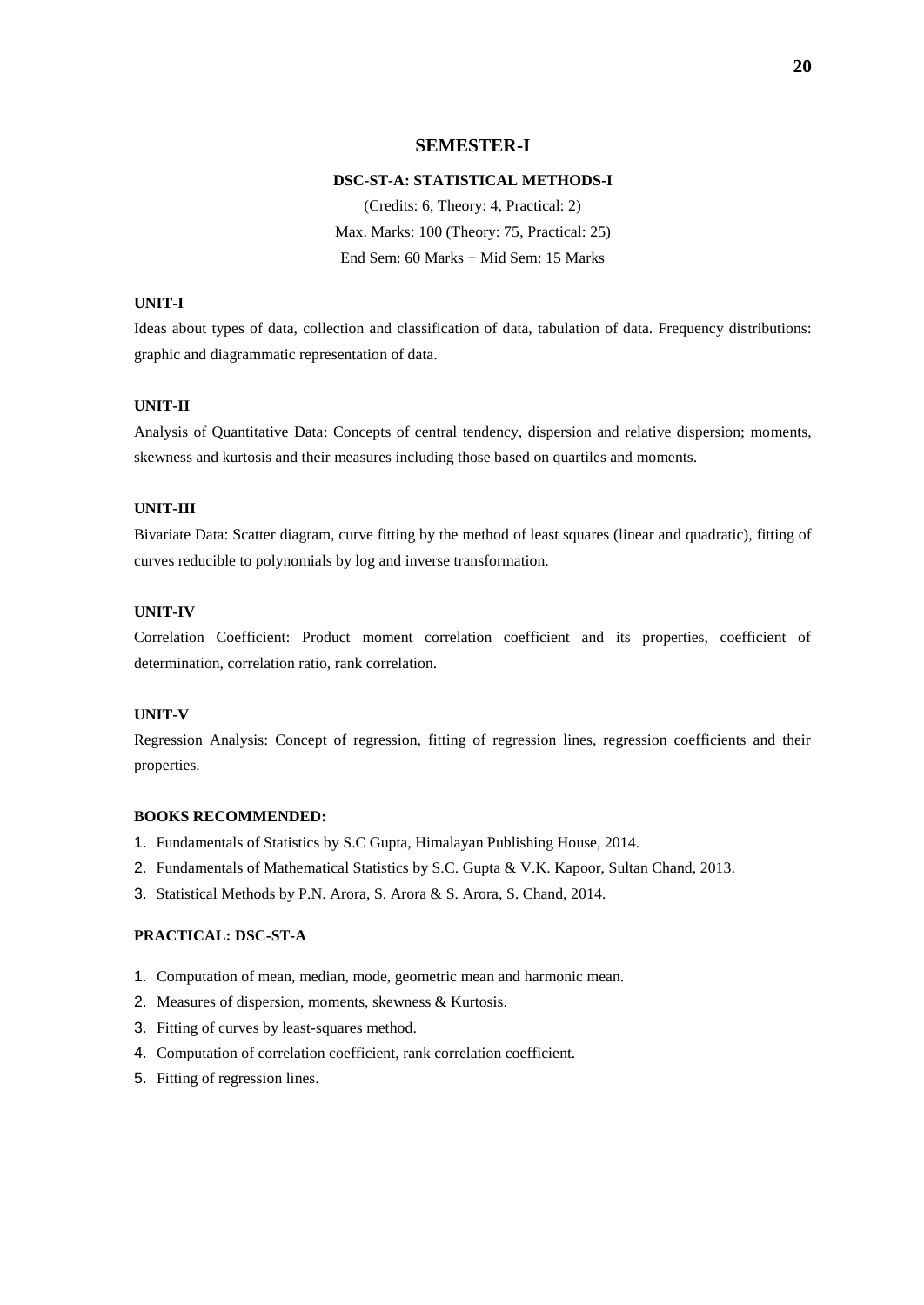#### **SEMESTER-I**

#### **DSC-ST-A: STATISTICAL METHODS-I**

(Credits: 6, Theory: 4, Practical: 2) Max. Marks: 100 (Theory: 75, Practical: 25) End Sem: 60 Marks + Mid Sem: 15 Marks

#### **UNIT-I**

Ideas about types of data, collection and classification of data, tabulation of data. Frequency distributions: graphic and diagrammatic representation of data.

#### **UNIT-II**

Analysis of Quantitative Data: Concepts of central tendency, dispersion and relative dispersion; moments, skewness and kurtosis and their measures including those based on quartiles and moments.

#### **UNIT-III**

Bivariate Data: Scatter diagram, curve fitting by the method of least squares (linear and quadratic), fitting of curves reducible to polynomials by log and inverse transformation.

#### **UNIT-IV**

Correlation Coefficient: Product moment correlation coefficient and its properties, coefficient of determination, correlation ratio, rank correlation.

#### **UNIT-V**

Regression Analysis: Concept of regression, fitting of regression lines, regression coefficients and their properties.

#### **BOOKS RECOMMENDED:**

- 1. Fundamentals of Statistics by S.C Gupta, Himalayan Publishing House, 2014.
- 2. Fundamentals of Mathematical Statistics by S.C. Gupta & V.K. Kapoor, Sultan Chand, 2013.
- 3. Statistical Methods by P.N. Arora, S. Arora & S. Arora, S. Chand, 2014.

#### **PRACTICAL: DSC-ST-A**

- 1. Computation of mean, median, mode, geometric mean and harmonic mean.
- 2. Measures of dispersion, moments, skewness & Kurtosis.
- 3. Fitting of curves by least-squares method.
- 4. Computation of correlation coefficient, rank correlation coefficient.
- 5. Fitting of regression lines.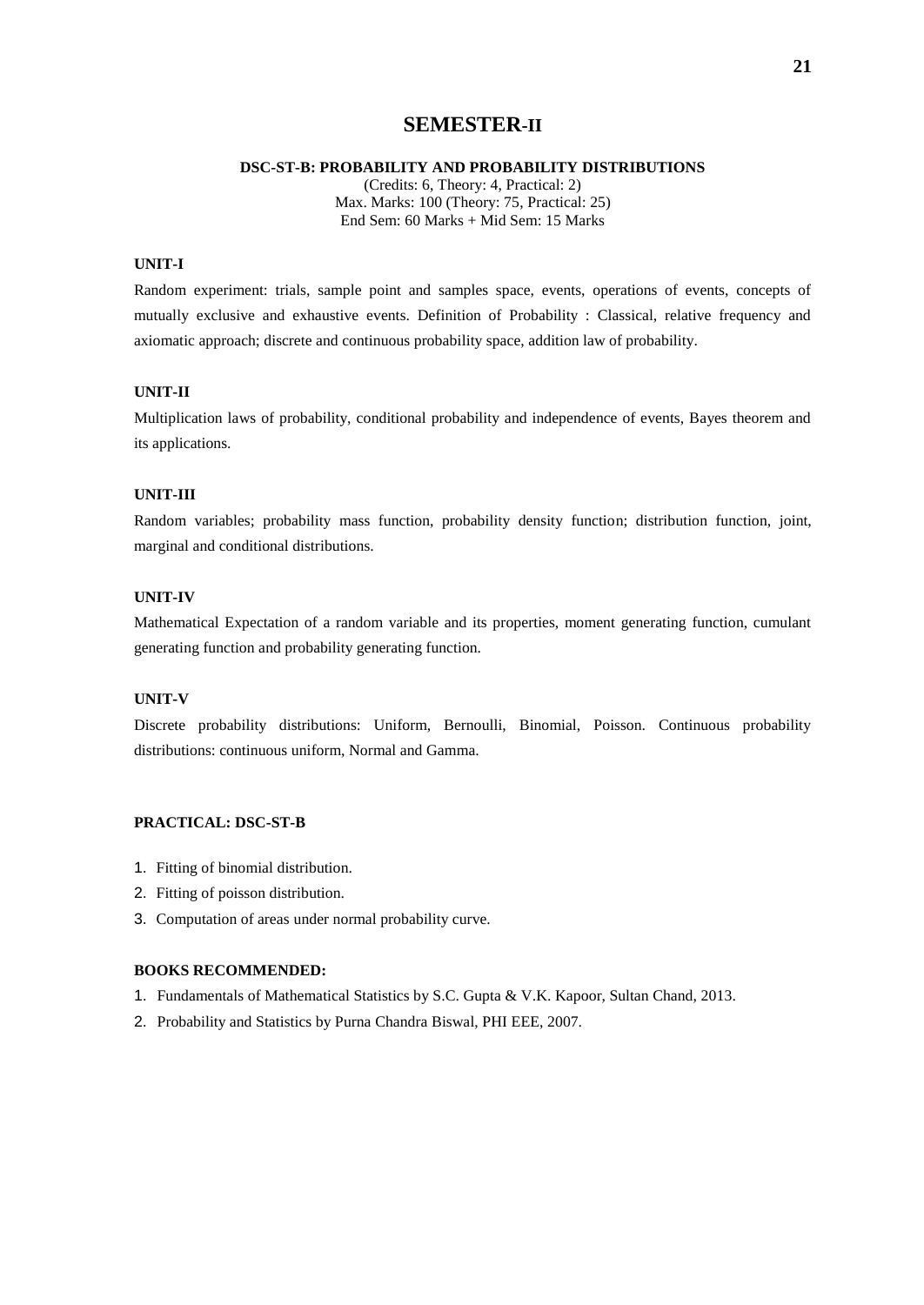# **SEMESTER-II**

#### **DSC-ST-B: PROBABILITY AND PROBABILITY DISTRIBUTIONS**

(Credits: 6, Theory: 4, Practical: 2) Max. Marks: 100 (Theory: 75, Practical: 25) End Sem: 60 Marks + Mid Sem: 15 Marks

#### **UNIT-I**

Random experiment: trials, sample point and samples space, events, operations of events, concepts of mutually exclusive and exhaustive events. Definition of Probability : Classical, relative frequency and axiomatic approach; discrete and continuous probability space, addition law of probability.

#### **UNIT-II**

Multiplication laws of probability, conditional probability and independence of events, Bayes theorem and its applications.

#### **UNIT-III**

Random variables; probability mass function, probability density function; distribution function, joint, marginal and conditional distributions.

#### **UNIT-IV**

Mathematical Expectation of a random variable and its properties, moment generating function, cumulant generating function and probability generating function.

#### **UNIT-V**

Discrete probability distributions: Uniform, Bernoulli, Binomial, Poisson. Continuous probability distributions: continuous uniform, Normal and Gamma.

#### **PRACTICAL: DSC-ST-B**

- 1. Fitting of binomial distribution.
- 2. Fitting of poisson distribution.
- 3. Computation of areas under normal probability curve.

- 1. Fundamentals of Mathematical Statistics by S.C. Gupta & V.K. Kapoor, Sultan Chand, 2013.
- 2. Probability and Statistics by Purna Chandra Biswal, PHI EEE, 2007.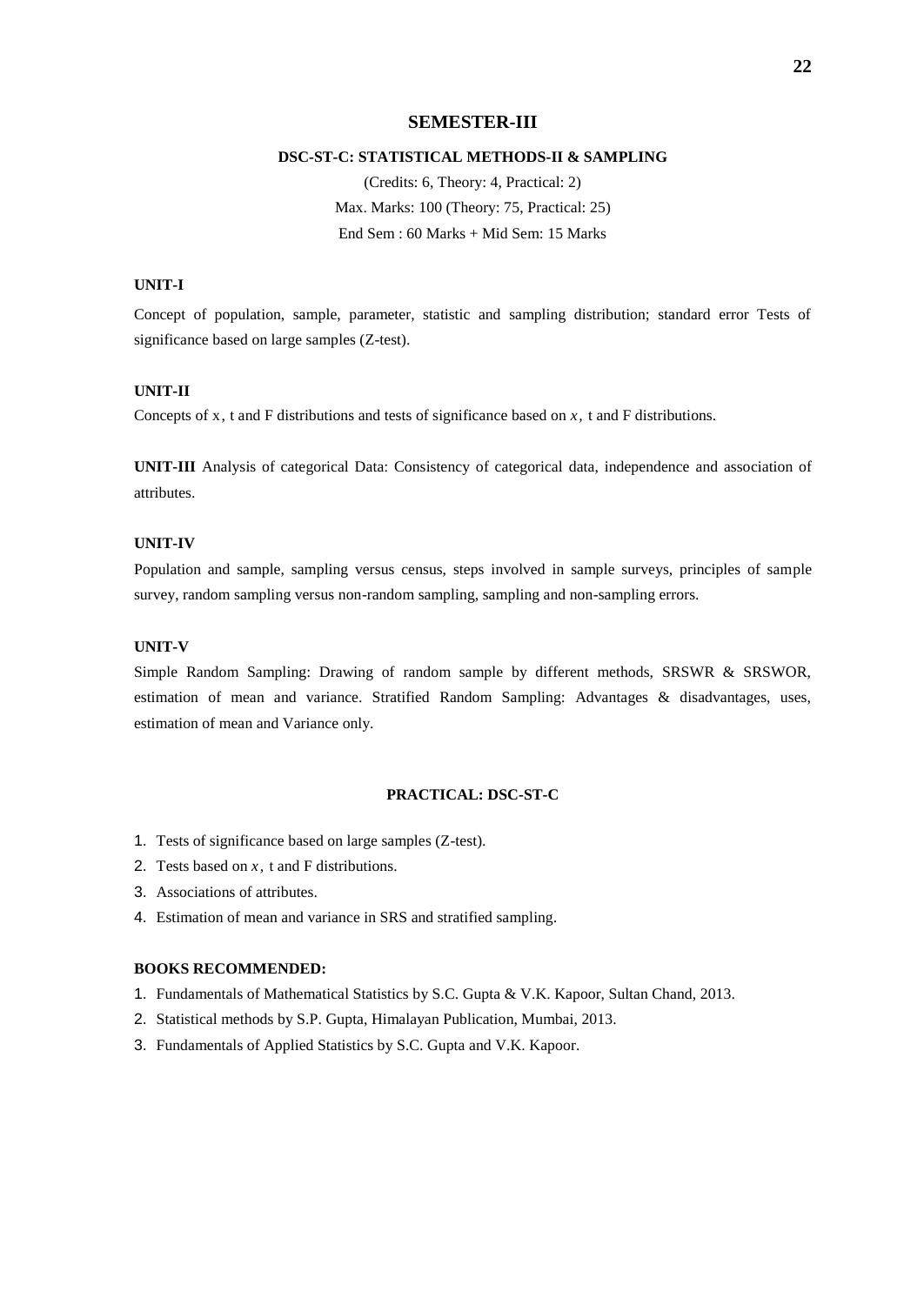#### **SEMESTER-III**

#### **DSC-ST-C: STATISTICAL METHODS-II & SAMPLING**

(Credits: 6, Theory: 4, Practical: 2) Max. Marks: 100 (Theory: 75, Practical: 25) End Sem : 60 Marks + Mid Sem: 15 Marks

#### **UNIT-I**

Concept of population, sample, parameter, statistic and sampling distribution; standard error Tests of significance based on large samples (Z-test).

#### **UNIT-II**

Concepts of x, t and F distributions and tests of significance based on *x,* t and F distributions.

**UNIT-III** Analysis of categorical Data: Consistency of categorical data, independence and association of attributes.

#### **UNIT-IV**

Population and sample, sampling versus census, steps involved in sample surveys, principles of sample survey, random sampling versus non-random sampling, sampling and non-sampling errors.

#### **UNIT-V**

Simple Random Sampling: Drawing of random sample by different methods, SRSWR & SRSWOR, estimation of mean and variance. Stratified Random Sampling: Advantages & disadvantages, uses, estimation of mean and Variance only.

#### **PRACTICAL: DSC-ST-C**

- 1. Tests of significance based on large samples (Z-test).
- 2. Tests based on *x,* t and F distributions.
- 3. Associations of attributes.
- 4. Estimation of mean and variance in SRS and stratified sampling.

- 1. Fundamentals of Mathematical Statistics by S.C. Gupta & V.K. Kapoor, Sultan Chand, 2013.
- 2. Statistical methods by S.P. Gupta, Himalayan Publication, Mumbai, 2013.
- 3. Fundamentals of Applied Statistics by S.C. Gupta and V.K. Kapoor.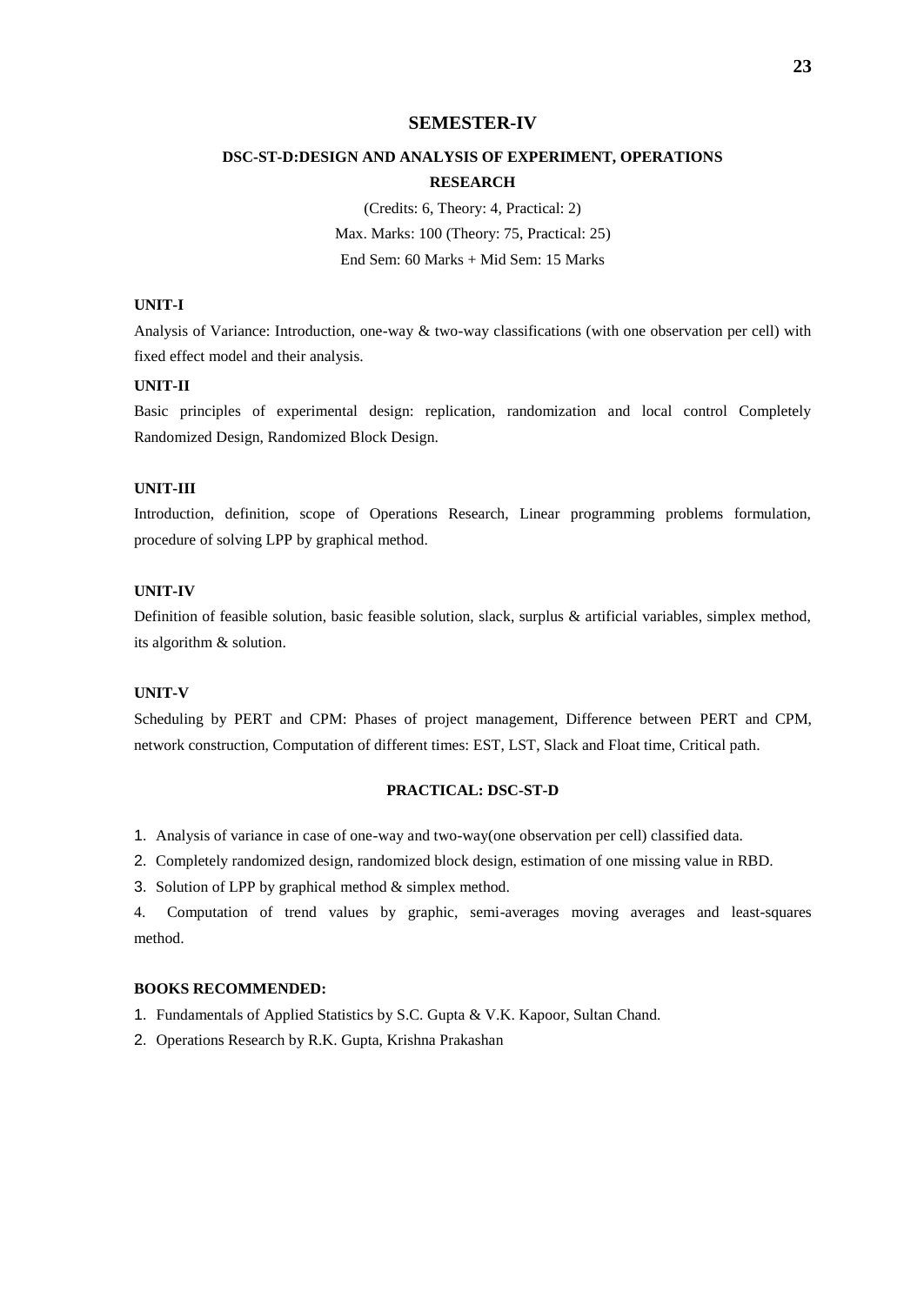#### **SEMESTER-IV**

# **DSC-ST-D:DESIGN AND ANALYSIS OF EXPERIMENT, OPERATIONS RESEARCH**

(Credits: 6, Theory: 4, Practical: 2) Max. Marks: 100 (Theory: 75, Practical: 25) End Sem: 60 Marks + Mid Sem: 15 Marks

#### **UNIT-I**

Analysis of Variance: Introduction, one-way & two-way classifications (with one observation per cell) with fixed effect model and their analysis.

#### **UNIT-II**

Basic principles of experimental design: replication, randomization and local control Completely Randomized Design, Randomized Block Design.

#### **UNIT-III**

Introduction, definition, scope of Operations Research, Linear programming problems formulation, procedure of solving LPP by graphical method.

#### **UNIT-IV**

Definition of feasible solution, basic feasible solution, slack, surplus & artificial variables, simplex method, its algorithm & solution.

#### **UNIT-V**

Scheduling by PERT and CPM: Phases of project management, Difference between PERT and CPM, network construction, Computation of different times: EST, LST, Slack and Float time, Critical path.

#### **PRACTICAL: DSC-ST-D**

1. Analysis of variance in case of one-way and two-way(one observation per cell) classified data.

- 2. Completely randomized design, randomized block design, estimation of one missing value in RBD.
- 3. Solution of LPP by graphical method  $&$  simplex method.

4. Computation of trend values by graphic, semi-averages moving averages and least-squares method.

#### **BOOKS RECOMMENDED:**

1. Fundamentals of Applied Statistics by S.C. Gupta & V.K. Kapoor, Sultan Chand.

2. Operations Research by R.K. Gupta, Krishna Prakashan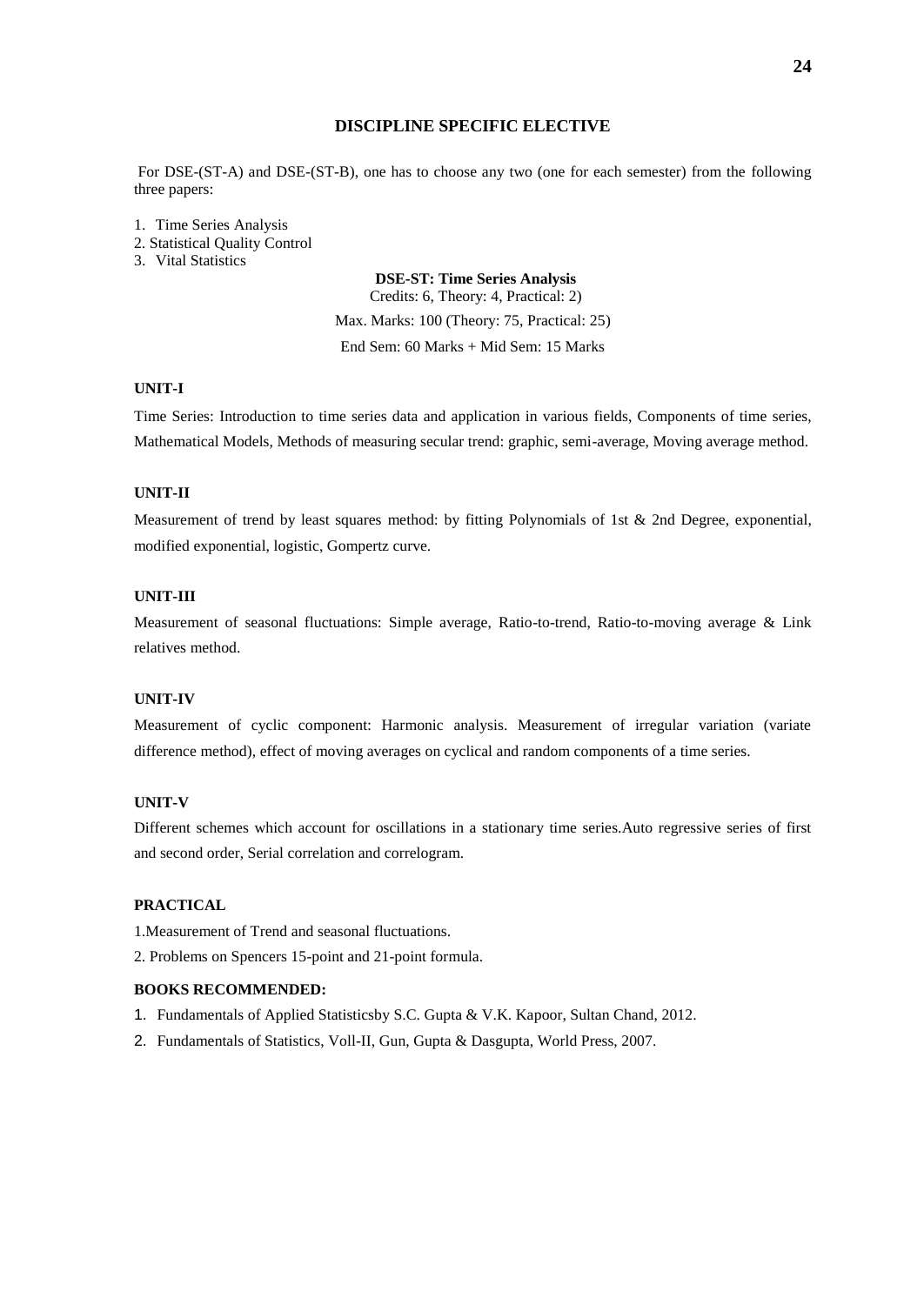#### **DISCIPLINE SPECIFIC ELECTIVE**

For DSE-(ST-A) and DSE-(ST-B), one has to choose any two (one for each semester) from the following three papers:

1. Time Series Analysis

2. Statistical Quality Control

3. Vital Statistics

#### **DSE-ST: Time Series Analysis**

Credits: 6, Theory: 4, Practical: 2) Max. Marks: 100 (Theory: 75, Practical: 25)

End Sem: 60 Marks + Mid Sem: 15 Marks

#### **UNIT-I**

Time Series: Introduction to time series data and application in various fields, Components of time series, Mathematical Models, Methods of measuring secular trend: graphic, semi-average, Moving average method.

#### **UNIT-II**

Measurement of trend by least squares method: by fitting Polynomials of 1st & 2nd Degree, exponential, modified exponential, logistic, Gompertz curve.

#### **UNIT-III**

Measurement of seasonal fluctuations: Simple average, Ratio-to-trend, Ratio-to-moving average & Link relatives method.

#### **UNIT-IV**

Measurement of cyclic component: Harmonic analysis. Measurement of irregular variation (variate difference method), effect of moving averages on cyclical and random components of a time series.

#### **UNIT-V**

Different schemes which account for oscillations in a stationary time series.Auto regressive series of first and second order, Serial correlation and correlogram.

#### **PRACTICAL**

1.Measurement of Trend and seasonal fluctuations.

2. Problems on Spencers 15-point and 21-point formula.

- 1. Fundamentals of Applied Statisticsby S.C. Gupta & V.K. Kapoor, Sultan Chand, 2012.
- 2. Fundamentals of Statistics, Voll-II, Gun, Gupta & Dasgupta, World Press, 2007.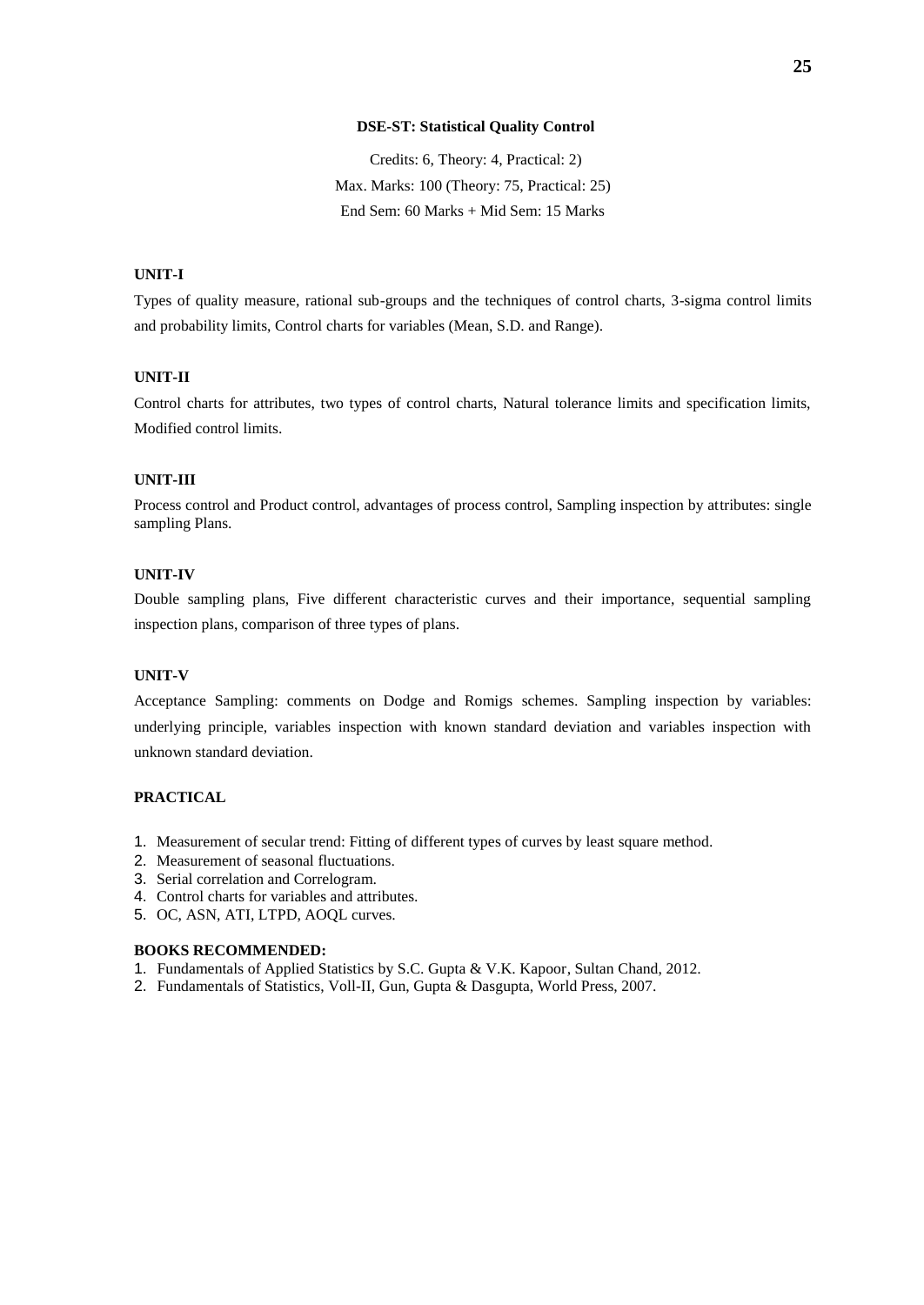#### **DSE-ST: Statistical Quality Control**

Credits: 6, Theory: 4, Practical: 2) Max. Marks: 100 (Theory: 75, Practical: 25) End Sem: 60 Marks + Mid Sem: 15 Marks

#### **UNIT-I**

Types of quality measure, rational sub-groups and the techniques of control charts, 3-sigma control limits and probability limits, Control charts for variables (Mean, S.D. and Range).

#### **UNIT-II**

Control charts for attributes, two types of control charts, Natural tolerance limits and specification limits, Modified control limits.

#### **UNIT-III**

Process control and Product control, advantages of process control, Sampling inspection by attributes: single sampling Plans.

#### **UNIT-IV**

Double sampling plans, Five different characteristic curves and their importance, sequential sampling inspection plans, comparison of three types of plans.

#### **UNIT-V**

Acceptance Sampling: comments on Dodge and Romigs schemes. Sampling inspection by variables: underlying principle, variables inspection with known standard deviation and variables inspection with unknown standard deviation.

#### **PRACTICAL**

- 1. Measurement of secular trend: Fitting of different types of curves by least square method.
- 2. Measurement of seasonal fluctuations.
- 3. Serial correlation and Correlogram.
- 4. Control charts for variables and attributes.
- 5. OC, ASN, ATI, LTPD, AOQL curves.

- 1. Fundamentals of Applied Statistics by S.C. Gupta & V.K. Kapoor, Sultan Chand, 2012.
- 2. Fundamentals of Statistics, Voll-II, Gun, Gupta & Dasgupta, World Press, 2007.